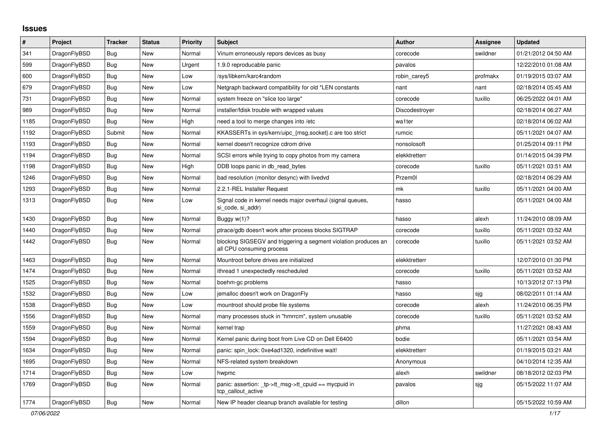## **Issues**

| $\pmb{\#}$ | Project      | <b>Tracker</b> | <b>Status</b> | <b>Priority</b> | <b>Subject</b>                                                                               | <b>Author</b>  | <b>Assignee</b> | <b>Updated</b>      |
|------------|--------------|----------------|---------------|-----------------|----------------------------------------------------------------------------------------------|----------------|-----------------|---------------------|
| 341        | DragonFlyBSD | Bug            | <b>New</b>    | Normal          | Vinum erroneously repors devices as busy                                                     | corecode       | swildner        | 01/21/2012 04:50 AM |
| 599        | DragonFlyBSD | Bug            | <b>New</b>    | Urgent          | 1.9.0 reproducable panic                                                                     | pavalos        |                 | 12/22/2010 01:08 AM |
| 600        | DragonFlyBSD | Bug            | <b>New</b>    | Low             | /sys/libkern/karc4random                                                                     | robin carey5   | profmakx        | 01/19/2015 03:07 AM |
| 679        | DragonFlyBSD | Bug            | <b>New</b>    | Low             | Netgraph backward compatibility for old *LEN constants                                       | nant           | nant            | 02/18/2014 05:45 AM |
| 731        | DragonFlyBSD | <b>Bug</b>     | <b>New</b>    | Normal          | system freeze on "slice too large"                                                           | corecode       | tuxillo         | 06/25/2022 04:01 AM |
| 989        | DragonFlyBSD | <b>Bug</b>     | <b>New</b>    | Normal          | installer/fdisk trouble with wrapped values                                                  | Discodestroyer |                 | 02/18/2014 06:27 AM |
| 1185       | DragonFlyBSD | Bug            | <b>New</b>    | High            | need a tool to merge changes into /etc                                                       | wa1ter         |                 | 02/18/2014 06:02 AM |
| 1192       | DragonFlyBSD | Submit         | <b>New</b>    | Normal          | KKASSERTs in sys/kern/uipc_{msg,socket}.c are too strict                                     | rumcic         |                 | 05/11/2021 04:07 AM |
| 1193       | DragonFlyBSD | Bug            | <b>New</b>    | Normal          | kernel doesn't recognize cdrom drive                                                         | nonsolosoft    |                 | 01/25/2014 09:11 PM |
| 1194       | DragonFlyBSD | Bug            | <b>New</b>    | Normal          | SCSI errors while trying to copy photos from my camera                                       | elekktretterr  |                 | 01/14/2015 04:39 PM |
| 1198       | DragonFlyBSD | Bug            | <b>New</b>    | High            | DDB loops panic in db_read_bytes                                                             | corecode       | tuxillo         | 05/11/2021 03:51 AM |
| 1246       | DragonFlyBSD | Bug            | <b>New</b>    | Normal          | bad resolution (monitor desync) with livedvd                                                 | Przem0l        |                 | 02/18/2014 06:29 AM |
| 1293       | DragonFlyBSD | Bug            | <b>New</b>    | Normal          | 2.2.1-REL Installer Request                                                                  | mk             | tuxillo         | 05/11/2021 04:00 AM |
| 1313       | DragonFlyBSD | Bug            | <b>New</b>    | Low             | Signal code in kernel needs major overhaul (signal queues,<br>si code, si addr)              | hasso          |                 | 05/11/2021 04:00 AM |
| 1430       | DragonFlyBSD | Bug            | <b>New</b>    | Normal          | Buggy w(1)?                                                                                  | hasso          | alexh           | 11/24/2010 08:09 AM |
| 1440       | DragonFlyBSD | <b>Bug</b>     | <b>New</b>    | Normal          | ptrace/gdb doesn't work after process blocks SIGTRAP                                         | corecode       | tuxillo         | 05/11/2021 03:52 AM |
| 1442       | DragonFlyBSD | Bug            | <b>New</b>    | Normal          | blocking SIGSEGV and triggering a segment violation produces an<br>all CPU consuming process | corecode       | tuxillo         | 05/11/2021 03:52 AM |
| 1463       | DragonFlyBSD | <b>Bug</b>     | <b>New</b>    | Normal          | Mountroot before drives are initialized                                                      | elekktretterr  |                 | 12/07/2010 01:30 PM |
| 1474       | DragonFlyBSD | Bug            | <b>New</b>    | Normal          | ithread 1 unexpectedly rescheduled                                                           | corecode       | tuxillo         | 05/11/2021 03:52 AM |
| 1525       | DragonFlyBSD | <b>Bug</b>     | <b>New</b>    | Normal          | boehm-gc problems                                                                            | hasso          |                 | 10/13/2012 07:13 PM |
| 1532       | DragonFlyBSD | Bug            | <b>New</b>    | Low             | jemalloc doesn't work on DragonFly                                                           | hasso          | sjg             | 08/02/2011 01:14 AM |
| 1538       | DragonFlyBSD | Bug            | New           | Low             | mountroot should probe file systems                                                          | corecode       | alexh           | 11/24/2010 06:35 PM |
| 1556       | DragonFlyBSD | <b>Bug</b>     | <b>New</b>    | Normal          | many processes stuck in "hmrrcm", system unusable                                            | corecode       | tuxillo         | 05/11/2021 03:52 AM |
| 1559       | DragonFlyBSD | <b>Bug</b>     | <b>New</b>    | Normal          | kernel trap                                                                                  | phma           |                 | 11/27/2021 08:43 AM |
| 1594       | DragonFlyBSD | Bug            | New           | Normal          | Kernel panic during boot from Live CD on Dell E6400                                          | bodie          |                 | 05/11/2021 03:54 AM |
| 1634       | DragonFlyBSD | <b>Bug</b>     | <b>New</b>    | Normal          | panic: spin lock: 0xe4ad1320, indefinitive wait!                                             | elekktretterr  |                 | 01/19/2015 03:21 AM |
| 1695       | DragonFlyBSD | <b>Bug</b>     | <b>New</b>    | Normal          | NFS-related system breakdown                                                                 | Anonymous      |                 | 04/10/2014 12:35 AM |
| 1714       | DragonFlyBSD | <b>Bug</b>     | <b>New</b>    | Low             | hwpmc                                                                                        | alexh          | swildner        | 08/18/2012 02:03 PM |
| 1769       | DragonFlyBSD | <b>Bug</b>     | <b>New</b>    | Normal          | panic: assertion: tp->tt_msg->tt_cpuid == mycpuid in<br>tcp_callout_active                   | pavalos        | sjg             | 05/15/2022 11:07 AM |
| 1774       | DragonFlyBSD | <b>Bug</b>     | <b>New</b>    | Normal          | New IP header cleanup branch available for testing                                           | dillon         |                 | 05/15/2022 10:59 AM |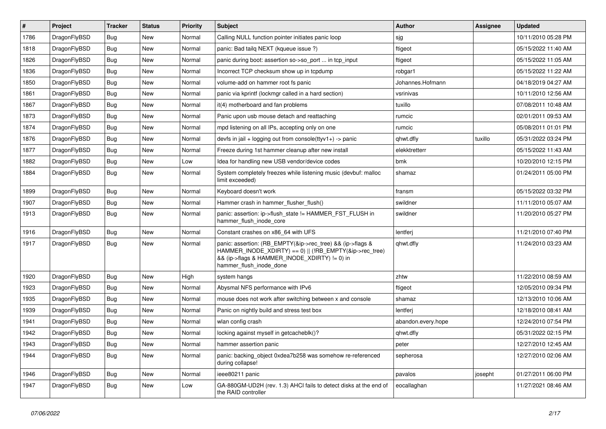| $\vert$ # | Project      | <b>Tracker</b> | <b>Status</b> | <b>Priority</b> | Subject                                                                                                                                                                                           | Author             | Assignee | <b>Updated</b>      |
|-----------|--------------|----------------|---------------|-----------------|---------------------------------------------------------------------------------------------------------------------------------------------------------------------------------------------------|--------------------|----------|---------------------|
| 1786      | DragonFlyBSD | Bug            | <b>New</b>    | Normal          | Calling NULL function pointer initiates panic loop                                                                                                                                                | sjg                |          | 10/11/2010 05:28 PM |
| 1818      | DragonFlyBSD | <b>Bug</b>     | <b>New</b>    | Normal          | panic: Bad tailg NEXT (kqueue issue ?)                                                                                                                                                            | ftigeot            |          | 05/15/2022 11:40 AM |
| 1826      | DragonFlyBSD | Bug            | <b>New</b>    | Normal          | panic during boot: assertion so->so_port  in tcp_input                                                                                                                                            | ftigeot            |          | 05/15/2022 11:05 AM |
| 1836      | DragonFlyBSD | Bug            | <b>New</b>    | Normal          | Incorrect TCP checksum show up in tcpdump                                                                                                                                                         | robgar1            |          | 05/15/2022 11:22 AM |
| 1850      | DragonFlyBSD | Bug            | <b>New</b>    | Normal          | volume-add on hammer root fs panic                                                                                                                                                                | Johannes.Hofmann   |          | 04/18/2019 04:27 AM |
| 1861      | DragonFlyBSD | <b>Bug</b>     | New           | Normal          | panic via kprintf (lockmgr called in a hard section)                                                                                                                                              | vsrinivas          |          | 10/11/2010 12:56 AM |
| 1867      | DragonFlyBSD | Bug            | <b>New</b>    | Normal          | it(4) motherboard and fan problems                                                                                                                                                                | tuxillo            |          | 07/08/2011 10:48 AM |
| 1873      | DragonFlyBSD | <b>Bug</b>     | <b>New</b>    | Normal          | Panic upon usb mouse detach and reattaching                                                                                                                                                       | rumcic             |          | 02/01/2011 09:53 AM |
| 1874      | DragonFlyBSD | Bug            | New           | Normal          | mpd listening on all IPs, accepting only on one                                                                                                                                                   | rumcic             |          | 05/08/2011 01:01 PM |
| 1876      | DragonFlyBSD | <b>Bug</b>     | <b>New</b>    | Normal          | devfs in jail + logging out from console(ttyv1+) -> panic                                                                                                                                         | qhwt.dfly          | tuxillo  | 05/31/2022 03:24 PM |
| 1877      | DragonFlyBSD | <b>Bug</b>     | New           | Normal          | Freeze during 1st hammer cleanup after new install                                                                                                                                                | elekktretterr      |          | 05/15/2022 11:43 AM |
| 1882      | DragonFlyBSD | Bug            | <b>New</b>    | Low             | Idea for handling new USB vendor/device codes                                                                                                                                                     | bmk                |          | 10/20/2010 12:15 PM |
| 1884      | DragonFlyBSD | Bug            | New           | Normal          | System completely freezes while listening music (devbuf: malloc<br>limit exceeded)                                                                                                                | shamaz             |          | 01/24/2011 05:00 PM |
| 1899      | DragonFlyBSD | <b>Bug</b>     | <b>New</b>    | Normal          | Keyboard doesn't work                                                                                                                                                                             | fransm             |          | 05/15/2022 03:32 PM |
| 1907      | DragonFlyBSD | <b>Bug</b>     | <b>New</b>    | Normal          | Hammer crash in hammer flusher flush()                                                                                                                                                            | swildner           |          | 11/11/2010 05:07 AM |
| 1913      | DragonFlyBSD | Bug            | New           | Normal          | panic: assertion: ip->flush state != HAMMER FST FLUSH in<br>hammer flush inode core                                                                                                               | swildner           |          | 11/20/2010 05:27 PM |
| 1916      | DragonFlyBSD | <b>Bug</b>     | <b>New</b>    | Normal          | Constant crashes on x86 64 with UFS                                                                                                                                                               | lentferj           |          | 11/21/2010 07:40 PM |
| 1917      | DragonFlyBSD | Bug            | New           | Normal          | panic: assertion: (RB_EMPTY(&ip->rec_tree) && (ip->flags &<br>HAMMER INODE_XDIRTY) == 0)    (!RB_EMPTY(&ip->rec_tree)<br>&& (ip->flags & HAMMER_INODE_XDIRTY) != 0) in<br>hammer_flush_inode_done | qhwt.dfly          |          | 11/24/2010 03:23 AM |
| 1920      | DragonFlyBSD | <b>Bug</b>     | <b>New</b>    | High            | system hangs                                                                                                                                                                                      | zhtw               |          | 11/22/2010 08:59 AM |
| 1923      | DragonFlyBSD | Bug            | <b>New</b>    | Normal          | Abysmal NFS performance with IPv6                                                                                                                                                                 | ftigeot            |          | 12/05/2010 09:34 PM |
| 1935      | DragonFlyBSD | Bug            | <b>New</b>    | Normal          | mouse does not work after switching between x and console                                                                                                                                         | shamaz             |          | 12/13/2010 10:06 AM |
| 1939      | DragonFlyBSD | Bug            | <b>New</b>    | Normal          | Panic on nightly build and stress test box                                                                                                                                                        | lentferj           |          | 12/18/2010 08:41 AM |
| 1941      | DragonFlyBSD | Bug            | <b>New</b>    | Normal          | wlan config crash                                                                                                                                                                                 | abandon.every.hope |          | 12/24/2010 07:54 PM |
| 1942      | DragonFlyBSD | <b>Bug</b>     | <b>New</b>    | Normal          | locking against myself in getcacheblk()?                                                                                                                                                          | qhwt.dfly          |          | 05/31/2022 02:15 PM |
| 1943      | DragonFlyBSD | <b>Bug</b>     | New           | Normal          | hammer assertion panic                                                                                                                                                                            | peter              |          | 12/27/2010 12:45 AM |
| 1944      | DragonFlyBSD | <b>Bug</b>     | New           | Normal          | panic: backing object 0xdea7b258 was somehow re-referenced<br>during collapse!                                                                                                                    | sepherosa          |          | 12/27/2010 02:06 AM |
| 1946      | DragonFlyBSD | <b>Bug</b>     | New           | Normal          | ieee80211 panic                                                                                                                                                                                   | pavalos            | josepht  | 01/27/2011 06:00 PM |
| 1947      | DragonFlyBSD | Bug            | New           | Low             | GA-880GM-UD2H (rev. 1.3) AHCI fails to detect disks at the end of<br>the RAID controller                                                                                                          | eocallaghan        |          | 11/27/2021 08:46 AM |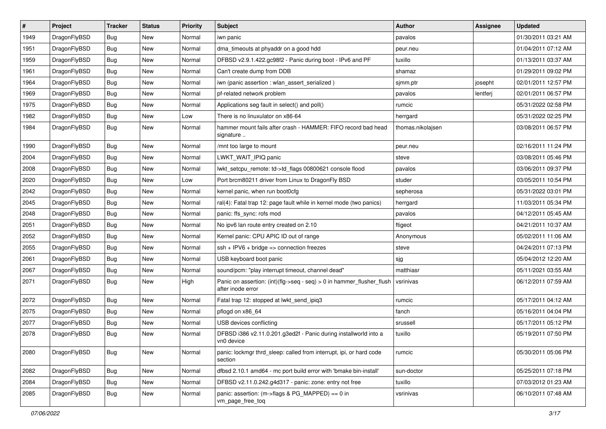| $\sharp$ | Project      | <b>Tracker</b> | <b>Status</b> | <b>Priority</b> | Subject                                                                                    | <b>Author</b>     | Assignee | <b>Updated</b>      |
|----------|--------------|----------------|---------------|-----------------|--------------------------------------------------------------------------------------------|-------------------|----------|---------------------|
| 1949     | DragonFlyBSD | <b>Bug</b>     | New           | Normal          | iwn panic                                                                                  | pavalos           |          | 01/30/2011 03:21 AM |
| 1951     | DragonFlyBSD | Bug            | <b>New</b>    | Normal          | dma_timeouts at phyaddr on a good hdd                                                      | peur.neu          |          | 01/04/2011 07:12 AM |
| 1959     | DragonFlyBSD | <b>Bug</b>     | New           | Normal          | DFBSD v2.9.1.422.gc98f2 - Panic during boot - IPv6 and PF                                  | tuxillo           |          | 01/13/2011 03:37 AM |
| 1961     | DragonFlyBSD | <b>Bug</b>     | <b>New</b>    | Normal          | Can't create dump from DDB                                                                 | shamaz            |          | 01/29/2011 09:02 PM |
| 1964     | DragonFlyBSD | Bug            | <b>New</b>    | Normal          | iwn (panic assertion : wlan assert serialized)                                             | sjmm.ptr          | josepht  | 02/01/2011 12:57 PM |
| 1969     | DragonFlyBSD | <b>Bug</b>     | <b>New</b>    | Normal          | pf-related network problem                                                                 | pavalos           | lentferj | 02/01/2011 06:57 PM |
| 1975     | DragonFlyBSD | <b>Bug</b>     | New           | Normal          | Applications seg fault in select() and poll()                                              | rumcic            |          | 05/31/2022 02:58 PM |
| 1982     | DragonFlyBSD | Bug            | <b>New</b>    | Low             | There is no linuxulator on x86-64                                                          | herrgard          |          | 05/31/2022 02:25 PM |
| 1984     | DragonFlyBSD | Bug            | New           | Normal          | hammer mount fails after crash - HAMMER: FIFO record bad head<br>signature                 | thomas.nikolajsen |          | 03/08/2011 06:57 PM |
| 1990     | DragonFlyBSD | Bug            | <b>New</b>    | Normal          | /mnt too large to mount                                                                    | peur.neu          |          | 02/16/2011 11:24 PM |
| 2004     | DragonFlyBSD | Bug            | New           | Normal          | LWKT WAIT IPIQ panic                                                                       | steve             |          | 03/08/2011 05:46 PM |
| 2008     | DragonFlyBSD | <b>Bug</b>     | New           | Normal          | lwkt setcpu remote: td->td flags 00800621 console flood                                    | pavalos           |          | 03/06/2011 09:37 PM |
| 2020     | DragonFlyBSD | Bug            | <b>New</b>    | Low             | Port brcm80211 driver from Linux to DragonFly BSD                                          | studer            |          | 03/05/2011 10:54 PM |
| 2042     | DragonFlyBSD | Bug            | New           | Normal          | kernel panic, when run boot0cfg                                                            | sepherosa         |          | 05/31/2022 03:01 PM |
| 2045     | DragonFlyBSD | <b>Bug</b>     | <b>New</b>    | Normal          | ral(4): Fatal trap 12: page fault while in kernel mode (two panics)                        | herrgard          |          | 11/03/2011 05:34 PM |
| 2048     | DragonFlyBSD | Bug            | New           | Normal          | panic: ffs_sync: rofs mod                                                                  | pavalos           |          | 04/12/2011 05:45 AM |
| 2051     | DragonFlyBSD | Bug            | <b>New</b>    | Normal          | No ipv6 lan route entry created on 2.10                                                    | ftigeot           |          | 04/21/2011 10:37 AM |
| 2052     | DragonFlyBSD | Bug            | <b>New</b>    | Normal          | Kernel panic: CPU APIC ID out of range                                                     | Anonymous         |          | 05/02/2011 11:06 AM |
| 2055     | DragonFlyBSD | Bug            | <b>New</b>    | Normal          | $ssh + IPV6 + bridge \Rightarrow connection freezes$                                       | steve             |          | 04/24/2011 07:13 PM |
| 2061     | DragonFlyBSD | Bug            | <b>New</b>    | Normal          | USB keyboard boot panic                                                                    | sjg               |          | 05/04/2012 12:20 AM |
| 2067     | DragonFlyBSD | <b>Bug</b>     | New           | Normal          | sound/pcm: "play interrupt timeout, channel dead"                                          | matthiasr         |          | 05/11/2021 03:55 AM |
| 2071     | DragonFlyBSD | Bug            | New           | High            | Panic on assertion: (int)(flg->seq - seq) > 0 in hammer_flusher_flush<br>after inode error | vsrinivas         |          | 06/12/2011 07:59 AM |
| 2072     | DragonFlyBSD | Bug            | New           | Normal          | Fatal trap 12: stopped at lwkt_send_ipiq3                                                  | rumcic            |          | 05/17/2011 04:12 AM |
| 2075     | DragonFlyBSD | <b>Bug</b>     | New           | Normal          | pflogd on x86_64                                                                           | fanch             |          | 05/16/2011 04:04 PM |
| 2077     | DragonFlyBSD | <b>Bug</b>     | <b>New</b>    | Normal          | USB devices conflicting                                                                    | srussell          |          | 05/17/2011 05:12 PM |
| 2078     | DragonFlyBSD | Bug            | New           | Normal          | DFBSD i386 v2.11.0.201.g3ed2f - Panic during installworld into a<br>vn0 device             | tuxillo           |          | 05/19/2011 07:50 PM |
| 2080     | DragonFlyBSD | Bug            | New           | Normal          | panic: lockmgr thrd sleep: called from interrupt, ipi, or hard code<br>section             | rumcic            |          | 05/30/2011 05:06 PM |
| 2082     | DragonFlyBSD | Bug            | <b>New</b>    | Normal          | dfbsd 2.10.1 amd64 - mc port build error with 'bmake bin-install'                          | sun-doctor        |          | 05/25/2011 07:18 PM |
| 2084     | DragonFlyBSD | <b>Bug</b>     | New           | Normal          | DFBSD v2.11.0.242.g4d317 - panic: zone: entry not free                                     | tuxillo           |          | 07/03/2012 01:23 AM |
| 2085     | DragonFlyBSD | Bug            | New           | Normal          | panic: assertion: (m->flags & PG_MAPPED) == 0 in<br>vm_page_free_toq                       | vsrinivas         |          | 06/10/2011 07:48 AM |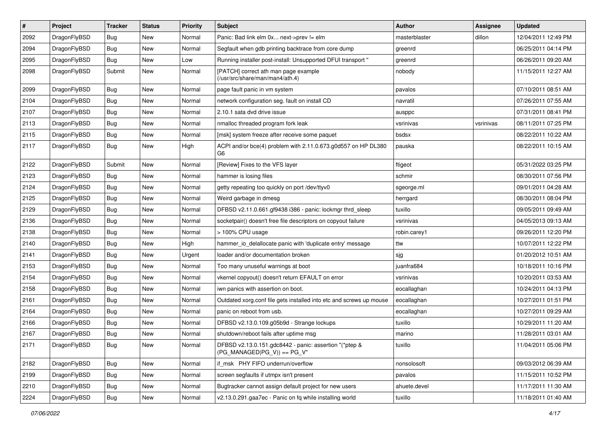| $\vert$ # | Project      | <b>Tracker</b> | <b>Status</b> | <b>Priority</b> | <b>Subject</b>                                                                          | Author        | Assignee  | <b>Updated</b>      |
|-----------|--------------|----------------|---------------|-----------------|-----------------------------------------------------------------------------------------|---------------|-----------|---------------------|
| 2092      | DragonFlyBSD | <b>Bug</b>     | New           | Normal          | Panic: Bad link elm 0x next->prev != elm                                                | masterblaster | dillon    | 12/04/2011 12:49 PM |
| 2094      | DragonFlyBSD | <b>Bug</b>     | <b>New</b>    | Normal          | Segfault when gdb printing backtrace from core dump                                     | greenrd       |           | 06/25/2011 04:14 PM |
| 2095      | DragonFlyBSD | Bug            | New           | Low             | Running installer post-install: Unsupported DFUI transport "                            | greenrd       |           | 06/26/2011 09:20 AM |
| 2098      | DragonFlyBSD | Submit         | New           | Normal          | [PATCH] correct ath man page example<br>(/usr/src/share/man/man4/ath.4)                 | nobody        |           | 11/15/2011 12:27 AM |
| 2099      | DragonFlyBSD | <b>Bug</b>     | New           | Normal          | page fault panic in vm system                                                           | pavalos       |           | 07/10/2011 08:51 AM |
| 2104      | DragonFlyBSD | Bug            | <b>New</b>    | Normal          | network configuration seg. fault on install CD                                          | navratil      |           | 07/26/2011 07:55 AM |
| 2107      | DragonFlyBSD | <b>Bug</b>     | New           | Normal          | 2.10.1 sata dvd drive issue                                                             | ausppc        |           | 07/31/2011 08:41 PM |
| 2113      | DragonFlyBSD | Bug            | New           | Normal          | nmalloc threaded program fork leak                                                      | vsrinivas     | vsrinivas | 08/11/2011 07:25 PM |
| 2115      | DragonFlyBSD | <b>Bug</b>     | <b>New</b>    | Normal          | [msk] system freeze after receive some paquet                                           | bsdsx         |           | 08/22/2011 10:22 AM |
| 2117      | DragonFlyBSD | <b>Bug</b>     | New           | High            | ACPI and/or bce(4) problem with 2.11.0.673.g0d557 on HP DL380<br>G6                     | pauska        |           | 08/22/2011 10:15 AM |
| 2122      | DragonFlyBSD | Submit         | <b>New</b>    | Normal          | [Review] Fixes to the VFS layer                                                         | ftigeot       |           | 05/31/2022 03:25 PM |
| 2123      | DragonFlyBSD | Bug            | New           | Normal          | hammer is losing files                                                                  | schmir        |           | 08/30/2011 07:56 PM |
| 2124      | DragonFlyBSD | Bug            | <b>New</b>    | Normal          | getty repeating too quickly on port /dev/ttyv0                                          | sgeorge.ml    |           | 09/01/2011 04:28 AM |
| 2125      | DragonFlyBSD | <b>Bug</b>     | New           | Normal          | Weird garbage in dmesg                                                                  | herrgard      |           | 08/30/2011 08:04 PM |
| 2129      | DragonFlyBSD | <b>Bug</b>     | New           | Normal          | DFBSD v2.11.0.661.gf9438 i386 - panic: lockmgr thrd_sleep                               | tuxillo       |           | 09/05/2011 09:49 AM |
| 2136      | DragonFlyBSD | Bug            | <b>New</b>    | Normal          | socketpair() doesn't free file descriptors on copyout failure                           | vsrinivas     |           | 04/05/2013 09:13 AM |
| 2138      | DragonFlyBSD | <b>Bug</b>     | New           | Normal          | > 100% CPU usage                                                                        | robin.carey1  |           | 09/26/2011 12:20 PM |
| 2140      | DragonFlyBSD | Bug            | <b>New</b>    | High            | hammer_io_delallocate panic with 'duplicate entry' message                              | ttw           |           | 10/07/2011 12:22 PM |
| 2141      | DragonFlyBSD | <b>Bug</b>     | New           | Urgent          | loader and/or documentation broken                                                      | sjg           |           | 01/20/2012 10:51 AM |
| 2153      | DragonFlyBSD | <b>Bug</b>     | <b>New</b>    | Normal          | Too many unuseful warnings at boot                                                      | juanfra684    |           | 10/18/2011 10:16 PM |
| 2154      | DragonFlyBSD | Bug            | <b>New</b>    | Normal          | vkernel copyout() doesn't return EFAULT on error                                        | vsrinivas     |           | 10/20/2011 03:53 AM |
| 2158      | DragonFlyBSD | <b>Bug</b>     | New           | Normal          | iwn panics with assertion on boot.                                                      | eocallaghan   |           | 10/24/2011 04:13 PM |
| 2161      | DragonFlyBSD | Bug            | New           | Normal          | Outdated xorg.conf file gets installed into etc and screws up mouse                     | eocallaghan   |           | 10/27/2011 01:51 PM |
| 2164      | DragonFlyBSD | <b>Bug</b>     | New           | Normal          | panic on reboot from usb.                                                               | eocallaghan   |           | 10/27/2011 09:29 AM |
| 2166      | DragonFlyBSD | Bug            | New           | Normal          | DFBSD v2.13.0.109.g05b9d - Strange lockups                                              | tuxillo       |           | 10/29/2011 11:20 AM |
| 2167      | DragonFlyBSD | Bug            | New           | Normal          | shutdown/reboot fails after uptime msg                                                  | marino        |           | 11/28/2011 03:01 AM |
| 2171      | DragonFlyBSD | Bug            | New           | Normal          | DFBSD v2.13.0.151.gdc8442 - panic: assertion "(*ptep &<br>$(PG MANAGED PG V)) == PG V"$ | tuxillo       |           | 11/04/2011 05:06 PM |
| 2182      | DragonFlyBSD | <b>Bug</b>     | New           | Normal          | if_msk PHY FIFO underrun/overflow                                                       | nonsolosoft   |           | 09/03/2012 06:39 AM |
| 2199      | DragonFlyBSD | <b>Bug</b>     | New           | Normal          | screen segfaults if utmpx isn't present                                                 | pavalos       |           | 11/15/2011 10:52 PM |
| 2210      | DragonFlyBSD | Bug            | New           | Normal          | Bugtracker cannot assign default project for new users                                  | ahuete.devel  |           | 11/17/2011 11:30 AM |
| 2224      | DragonFlyBSD | Bug            | New           | Normal          | v2.13.0.291.gaa7ec - Panic on fq while installing world                                 | tuxillo       |           | 11/18/2011 01:40 AM |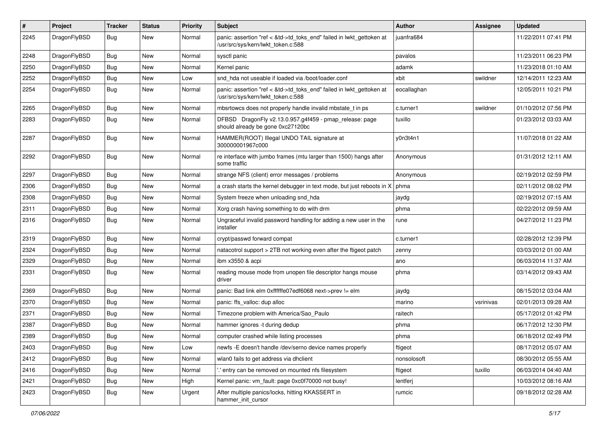| #    | Project      | <b>Tracker</b> | <b>Status</b> | <b>Priority</b> | Subject                                                                                                    | <b>Author</b> | Assignee  | <b>Updated</b>      |
|------|--------------|----------------|---------------|-----------------|------------------------------------------------------------------------------------------------------------|---------------|-----------|---------------------|
| 2245 | DragonFlyBSD | <b>Bug</b>     | New           | Normal          | panic: assertion "ref < &td->td_toks_end" failed in lwkt_gettoken at<br>/usr/src/sys/kern/lwkt_token.c:588 | juanfra684    |           | 11/22/2011 07:41 PM |
| 2248 | DragonFlyBSD | <b>Bug</b>     | <b>New</b>    | Normal          | sysctl panic                                                                                               | pavalos       |           | 11/23/2011 06:23 PM |
| 2250 | DragonFlyBSD | <b>Bug</b>     | New           | Normal          | Kernel panic                                                                                               | adamk         |           | 11/23/2018 01:10 AM |
| 2252 | DragonFlyBSD | <b>Bug</b>     | <b>New</b>    | Low             | snd hda not useable if loaded via /boot/loader.conf                                                        | xbit          | swildner  | 12/14/2011 12:23 AM |
| 2254 | DragonFlyBSD | <b>Bug</b>     | New           | Normal          | panic: assertion "ref < &td->td toks end" failed in lwkt gettoken at<br>/usr/src/sys/kern/lwkt token.c:588 | eocallaghan   |           | 12/05/2011 10:21 PM |
| 2265 | DragonFlyBSD | Bug            | <b>New</b>    | Normal          | mbsrtowcs does not properly handle invalid mbstate t in ps                                                 | c.turner1     | swildner  | 01/10/2012 07:56 PM |
| 2283 | DragonFlyBSD | <b>Bug</b>     | New           | Normal          | DFBSD DragonFly v2.13.0.957.g4f459 - pmap_release: page<br>should already be gone 0xc27120bc               | tuxillo       |           | 01/23/2012 03:03 AM |
| 2287 | DragonFlyBSD | Bug            | <b>New</b>    | Normal          | HAMMER(ROOT) Illegal UNDO TAIL signature at<br>300000001967c000                                            | y0n3t4n1      |           | 11/07/2018 01:22 AM |
| 2292 | DragonFlyBSD | <b>Bug</b>     | <b>New</b>    | Normal          | re interface with jumbo frames (mtu larger than 1500) hangs after<br>some traffic                          | Anonymous     |           | 01/31/2012 12:11 AM |
| 2297 | DragonFlyBSD | Bug            | <b>New</b>    | Normal          | strange NFS (client) error messages / problems                                                             | Anonymous     |           | 02/19/2012 02:59 PM |
| 2306 | DragonFlyBSD | <b>Bug</b>     | <b>New</b>    | Normal          | a crash starts the kernel debugger in text mode, but just reboots in X                                     | phma          |           | 02/11/2012 08:02 PM |
| 2308 | DragonFlyBSD | <b>Bug</b>     | New           | Normal          | System freeze when unloading snd hda                                                                       | jaydg         |           | 02/19/2012 07:15 AM |
| 2311 | DragonFlyBSD | <b>Bug</b>     | <b>New</b>    | Normal          | Xorg crash having something to do with drm                                                                 | phma          |           | 02/22/2012 09:59 AM |
| 2316 | DragonFlyBSD | <b>Bug</b>     | New           | Normal          | Ungraceful invalid password handling for adding a new user in the<br>installer                             | rune          |           | 04/27/2012 11:23 PM |
| 2319 | DragonFlyBSD | Bug            | <b>New</b>    | Normal          | crypt/passwd forward compat                                                                                | c.turner1     |           | 02/28/2012 12:39 PM |
| 2324 | DragonFlyBSD | Bug            | <b>New</b>    | Normal          | natacotrol support > 2TB not working even after the ftigeot patch                                          | zenny         |           | 03/03/2012 01:00 AM |
| 2329 | DragonFlyBSD | <b>Bug</b>     | New           | Normal          | ibm x3550 & acpi                                                                                           | ano           |           | 06/03/2014 11:37 AM |
| 2331 | DragonFlyBSD | <b>Bug</b>     | New           | Normal          | reading mouse mode from unopen file descriptor hangs mouse<br>driver                                       | phma          |           | 03/14/2012 09:43 AM |
| 2369 | DragonFlyBSD | Bug            | <b>New</b>    | Normal          | panic: Bad link elm 0xffffffe07edf6068 next->prev != elm                                                   | jaydg         |           | 08/15/2012 03:04 AM |
| 2370 | DragonFlyBSD | <b>Bug</b>     | New           | Normal          | panic: ffs valloc: dup alloc                                                                               | marino        | vsrinivas | 02/01/2013 09:28 AM |
| 2371 | DragonFlyBSD | <b>Bug</b>     | New           | Normal          | Timezone problem with America/Sao Paulo                                                                    | raitech       |           | 05/17/2012 01:42 PM |
| 2387 | DragonFlyBSD | <b>Bug</b>     | <b>New</b>    | Normal          | hammer ignores -t during dedup                                                                             | phma          |           | 06/17/2012 12:30 PM |
| 2389 | DragonFlyBSD | Bug            | <b>New</b>    | Normal          | computer crashed while listing processes                                                                   | phma          |           | 06/18/2012 02:49 PM |
| 2403 | DragonFlyBSD | Bug            | <b>New</b>    | Low             | newfs -E doesn't handle /dev/serno device names properly                                                   | ftigeot       |           | 08/17/2012 05:07 AM |
| 2412 | DragonFlyBSD | Bug            | New           | Normal          | wlan0 fails to get address via dhclient                                                                    | nonsolosoft   |           | 08/30/2012 05:55 AM |
| 2416 | DragonFlyBSD | <b>Bug</b>     | New           | Normal          | entry can be removed on mounted nfs filesystem                                                             | ftigeot       | tuxillo   | 06/03/2014 04:40 AM |
| 2421 | DragonFlyBSD | Bug            | New           | High            | Kernel panic: vm_fault: page 0xc0f70000 not busy!                                                          | lentferj      |           | 10/03/2012 08:16 AM |
| 2423 | DragonFlyBSD | <b>Bug</b>     | New           | Urgent          | After multiple panics/locks, hitting KKASSERT in<br>hammer_init_cursor                                     | rumcic        |           | 09/18/2012 02:28 AM |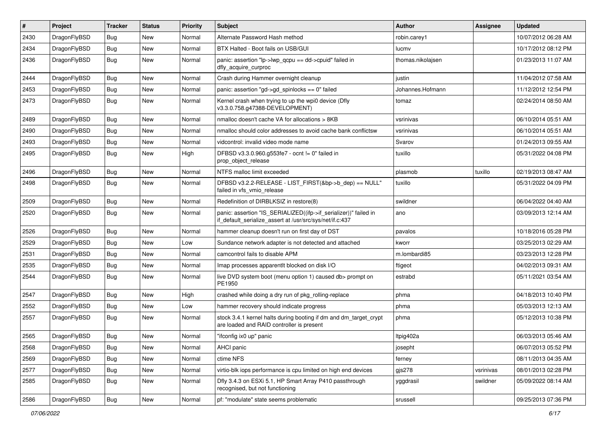| #    | Project      | <b>Tracker</b> | <b>Status</b> | <b>Priority</b> | Subject                                                                                                                      | <b>Author</b>     | Assignee  | <b>Updated</b>      |
|------|--------------|----------------|---------------|-----------------|------------------------------------------------------------------------------------------------------------------------------|-------------------|-----------|---------------------|
| 2430 | DragonFlyBSD | Bug            | New           | Normal          | Alternate Password Hash method                                                                                               | robin.carey1      |           | 10/07/2012 06:28 AM |
| 2434 | DragonFlyBSD | <b>Bug</b>     | New           | Normal          | BTX Halted - Boot fails on USB/GUI                                                                                           | lucmv             |           | 10/17/2012 08:12 PM |
| 2436 | DragonFlyBSD | Bug            | <b>New</b>    | Normal          | panic: assertion "lp->lwp_qcpu == dd->cpuid" failed in<br>dfly_acquire_curproc                                               | thomas.nikolajsen |           | 01/23/2013 11:07 AM |
| 2444 | DragonFlyBSD | Bug            | <b>New</b>    | Normal          | Crash during Hammer overnight cleanup                                                                                        | justin            |           | 11/04/2012 07:58 AM |
| 2453 | DragonFlyBSD | <b>Bug</b>     | New           | Normal          | panic: assertion "gd->gd_spinlocks == 0" failed                                                                              | Johannes.Hofmann  |           | 11/12/2012 12:54 PM |
| 2473 | DragonFlyBSD | Bug            | New           | Normal          | Kernel crash when trying to up the wpi0 device (Dfly<br>v3.3.0.758.g47388-DEVELOPMENT)                                       | tomaz             |           | 02/24/2014 08:50 AM |
| 2489 | DragonFlyBSD | Bug            | <b>New</b>    | Normal          | nmalloc doesn't cache VA for allocations > 8KB                                                                               | vsrinivas         |           | 06/10/2014 05:51 AM |
| 2490 | DragonFlyBSD | Bug            | New           | Normal          | nmalloc should color addresses to avoid cache bank conflictsw                                                                | vsrinivas         |           | 06/10/2014 05:51 AM |
| 2493 | DragonFlyBSD | <b>Bug</b>     | <b>New</b>    | Normal          | vidcontrol: invalid video mode name                                                                                          | Svarov            |           | 01/24/2013 09:55 AM |
| 2495 | DragonFlyBSD | <b>Bug</b>     | New           | High            | DFBSD v3.3.0.960.g553fe7 - ocnt != 0" failed in<br>prop_object_release                                                       | tuxillo           |           | 05/31/2022 04:08 PM |
| 2496 | DragonFlyBSD | Bug            | New           | Normal          | NTFS malloc limit exceeded                                                                                                   | plasmob           | tuxillo   | 02/19/2013 08:47 AM |
| 2498 | DragonFlyBSD | Bug            | New           | Normal          | DFBSD v3.2.2-RELEASE - LIST FIRST(&bp->b dep) == NULL"<br>failed in vfs_vmio_release                                         | tuxillo           |           | 05/31/2022 04:09 PM |
| 2509 | DragonFlyBSD | Bug            | <b>New</b>    | Normal          | Redefinition of DIRBLKSIZ in restore(8)                                                                                      | swildner          |           | 06/04/2022 04:40 AM |
| 2520 | DragonFlyBSD | Bug            | New           | Normal          | panic: assertion "IS_SERIALIZED((ifp->if_serializer))" failed in<br>if_default_serialize_assert at /usr/src/sys/net/if.c:437 | ano               |           | 03/09/2013 12:14 AM |
| 2526 | DragonFlyBSD | <b>Bug</b>     | <b>New</b>    | Normal          | hammer cleanup doesn't run on first day of DST                                                                               | pavalos           |           | 10/18/2016 05:28 PM |
| 2529 | DragonFlyBSD | Bug            | <b>New</b>    | Low             | Sundance network adapter is not detected and attached                                                                        | kworr             |           | 03/25/2013 02:29 AM |
| 2531 | DragonFlyBSD | Bug            | New           | Normal          | camcontrol fails to disable APM                                                                                              | m.lombardi85      |           | 03/23/2013 12:28 PM |
| 2535 | DragonFlyBSD | Bug            | New           | Normal          | Imap processes apparentlt blocked on disk I/O                                                                                | ftigeot           |           | 04/02/2013 09:31 AM |
| 2544 | DragonFlyBSD | Bug            | New           | Normal          | live DVD system boot (menu option 1) caused db> prompt on<br>PE1950                                                          | estrabd           |           | 05/11/2021 03:54 AM |
| 2547 | DragonFlyBSD | <b>Bug</b>     | New           | High            | crashed while doing a dry run of pkg_rolling-replace                                                                         | phma              |           | 04/18/2013 10:40 PM |
| 2552 | DragonFlyBSD | <b>Bug</b>     | New           | Low             | hammer recovery should indicate progress                                                                                     | phma              |           | 05/03/2013 12:13 AM |
| 2557 | DragonFlyBSD | <b>Bug</b>     | New           | Normal          | stock 3.4.1 kernel halts during booting if dm and dm_target_crypt<br>are loaded and RAID controller is present               | phma              |           | 05/12/2013 10:38 PM |
| 2565 | DragonFlyBSD | Bug            | <b>New</b>    | Normal          | "ifconfig ix0 up" panic                                                                                                      | Itpig402a         |           | 06/03/2013 05:46 AM |
| 2568 | DragonFlyBSD | <b>Bug</b>     | New           | Normal          | AHCI panic                                                                                                                   | josepht           |           | 06/07/2013 05:52 PM |
| 2569 | DragonFlyBSD | <b>Bug</b>     | New           | Normal          | ctime NFS                                                                                                                    | ferney            |           | 08/11/2013 04:35 AM |
| 2577 | DragonFlyBSD | Bug            | <b>New</b>    | Normal          | virtio-blk iops performance is cpu limited on high end devices                                                               | gjs278            | vsrinivas | 08/01/2013 02:28 PM |
| 2585 | DragonFlyBSD | <b>Bug</b>     | New           | Normal          | Dfly 3.4.3 on ESXi 5.1, HP Smart Array P410 passthrough<br>recognised, but not functioning                                   | yggdrasil         | swildner  | 05/09/2022 08:14 AM |
| 2586 | DragonFlyBSD | Bug            | New           | Normal          | pf: "modulate" state seems problematic                                                                                       | srussell          |           | 09/25/2013 07:36 PM |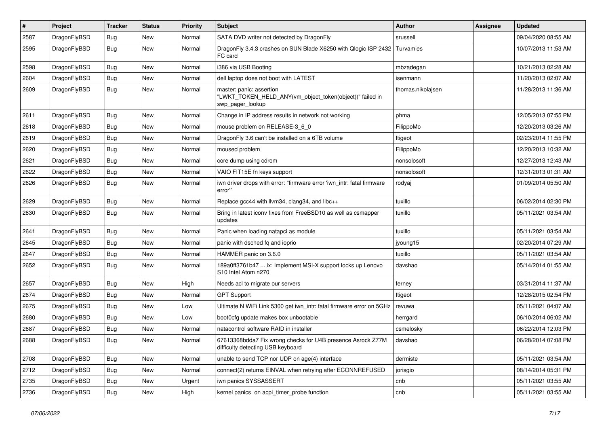| #    | Project      | <b>Tracker</b> | <b>Status</b> | <b>Priority</b> | Subject                                                                                                  | <b>Author</b>     | <b>Assignee</b> | <b>Updated</b>      |
|------|--------------|----------------|---------------|-----------------|----------------------------------------------------------------------------------------------------------|-------------------|-----------------|---------------------|
| 2587 | DragonFlyBSD | <b>Bug</b>     | New           | Normal          | SATA DVD writer not detected by DragonFly                                                                | srussell          |                 | 09/04/2020 08:55 AM |
| 2595 | DragonFlyBSD | <b>Bug</b>     | New           | Normal          | DragonFly 3.4.3 crashes on SUN Blade X6250 with Qlogic ISP 2432<br>FC card                               | Turvamies         |                 | 10/07/2013 11:53 AM |
| 2598 | DragonFlyBSD | Bug            | <b>New</b>    | Normal          | i386 via USB Booting                                                                                     | mbzadegan         |                 | 10/21/2013 02:28 AM |
| 2604 | DragonFlyBSD | Bug            | New           | Normal          | dell laptop does not boot with LATEST                                                                    | isenmann          |                 | 11/20/2013 02:07 AM |
| 2609 | DragonFlyBSD | Bug            | <b>New</b>    | Normal          | master: panic: assertion<br>"LWKT_TOKEN_HELD_ANY(vm_object_token(object))" failed in<br>swp_pager_lookup | thomas.nikolajsen |                 | 11/28/2013 11:36 AM |
| 2611 | DragonFlyBSD | Bug            | <b>New</b>    | Normal          | Change in IP address results in network not working                                                      | phma              |                 | 12/05/2013 07:55 PM |
| 2618 | DragonFlyBSD | Bug            | New           | Normal          | mouse problem on RELEASE-3_6_0                                                                           | FilippoMo         |                 | 12/20/2013 03:26 AM |
| 2619 | DragonFlyBSD | <b>Bug</b>     | New           | Normal          | DragonFly 3.6 can't be installed on a 6TB volume                                                         | ftigeot           |                 | 02/23/2014 11:55 PM |
| 2620 | DragonFlyBSD | <b>Bug</b>     | <b>New</b>    | Normal          | moused problem                                                                                           | FilippoMo         |                 | 12/20/2013 10:32 AM |
| 2621 | DragonFlyBSD | Bug            | <b>New</b>    | Normal          | core dump using cdrom                                                                                    | nonsolosoft       |                 | 12/27/2013 12:43 AM |
| 2622 | DragonFlyBSD | <b>Bug</b>     | <b>New</b>    | Normal          | VAIO FIT15E fn keys support                                                                              | nonsolosoft       |                 | 12/31/2013 01:31 AM |
| 2626 | DragonFlyBSD | Bug            | New           | Normal          | iwn driver drops with error: "firmware error 'iwn_intr: fatal firmware<br>error""                        | rodyaj            |                 | 01/09/2014 05:50 AM |
| 2629 | DragonFlyBSD | Bug            | <b>New</b>    | Normal          | Replace gcc44 with llvm34, clang34, and libc++                                                           | tuxillo           |                 | 06/02/2014 02:30 PM |
| 2630 | DragonFlyBSD | Bug            | New           | Normal          | Bring in latest iconv fixes from FreeBSD10 as well as csmapper<br>updates                                | tuxillo           |                 | 05/11/2021 03:54 AM |
| 2641 | DragonFlyBSD | Bug            | <b>New</b>    | Normal          | Panic when loading natapci as module                                                                     | tuxillo           |                 | 05/11/2021 03:54 AM |
| 2645 | DragonFlyBSD | Bug            | New           | Normal          | panic with dsched fq and ioprio                                                                          | jyoung15          |                 | 02/20/2014 07:29 AM |
| 2647 | DragonFlyBSD | <b>Bug</b>     | New           | Normal          | HAMMER panic on 3.6.0                                                                                    | tuxillo           |                 | 05/11/2021 03:54 AM |
| 2652 | DragonFlyBSD | <b>Bug</b>     | New           | Normal          | 189a0ff3761b47  ix: Implement MSI-X support locks up Lenovo<br>S10 Intel Atom n270                       | davshao           |                 | 05/14/2014 01:55 AM |
| 2657 | DragonFlyBSD | Bug            | <b>New</b>    | High            | Needs acl to migrate our servers                                                                         | ferney            |                 | 03/31/2014 11:37 AM |
| 2674 | DragonFlyBSD | Bug            | <b>New</b>    | Normal          | <b>GPT Support</b>                                                                                       | ftigeot           |                 | 12/28/2015 02:54 PM |
| 2675 | DragonFlyBSD | <b>Bug</b>     | New           | Low             | Ultimate N WiFi Link 5300 get iwn_intr: fatal firmware error on 5GHz                                     | revuwa            |                 | 05/11/2021 04:07 AM |
| 2680 | DragonFlyBSD | <b>Bug</b>     | <b>New</b>    | Low             | boot0cfg update makes box unbootable                                                                     | herrgard          |                 | 06/10/2014 06:02 AM |
| 2687 | DragonFlyBSD | <b>Bug</b>     | New           | Normal          | natacontrol software RAID in installer                                                                   | csmelosky         |                 | 06/22/2014 12:03 PM |
| 2688 | DragonFlyBSD | Bug            | New           | Normal          | 67613368bdda7 Fix wrong checks for U4B presence Asrock Z77M<br>difficulty detecting USB keyboard         | davshao           |                 | 06/28/2014 07:08 PM |
| 2708 | DragonFlyBSD | <b>Bug</b>     | <b>New</b>    | Normal          | unable to send TCP nor UDP on age(4) interface                                                           | dermiste          |                 | 05/11/2021 03:54 AM |
| 2712 | DragonFlyBSD | Bug            | New           | Normal          | connect(2) returns EINVAL when retrying after ECONNREFUSED                                               | jorisgio          |                 | 08/14/2014 05:31 PM |
| 2735 | DragonFlyBSD | Bug            | <b>New</b>    | Urgent          | iwn panics SYSSASSERT                                                                                    | cnb               |                 | 05/11/2021 03:55 AM |
| 2736 | DragonFlyBSD | <b>Bug</b>     | New           | High            | kernel panics on acpi_timer_probe function                                                               | cnb               |                 | 05/11/2021 03:55 AM |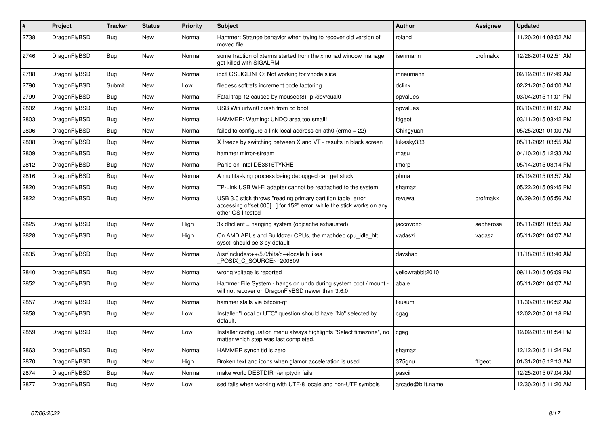| $\#$ | Project      | <b>Tracker</b> | <b>Status</b> | <b>Priority</b> | <b>Subject</b>                                                                                                                                           | <b>Author</b>    | Assignee  | <b>Updated</b>      |
|------|--------------|----------------|---------------|-----------------|----------------------------------------------------------------------------------------------------------------------------------------------------------|------------------|-----------|---------------------|
| 2738 | DragonFlyBSD | Bug            | <b>New</b>    | Normal          | Hammer: Strange behavior when trying to recover old version of<br>moved file                                                                             | roland           |           | 11/20/2014 08:02 AM |
| 2746 | DragonFlyBSD | Bug            | New           | Normal          | some fraction of xterms started from the xmonad window manager<br>get killed with SIGALRM                                                                | isenmann         | profmakx  | 12/28/2014 02:51 AM |
| 2788 | DragonFlyBSD | Bug            | New           | Normal          | ioctl GSLICEINFO: Not working for vnode slice                                                                                                            | mneumann         |           | 02/12/2015 07:49 AM |
| 2790 | DragonFlyBSD | Submit         | New           | Low             | filedesc softrefs increment code factoring                                                                                                               | dclink           |           | 02/21/2015 04:00 AM |
| 2799 | DragonFlyBSD | Bug            | <b>New</b>    | Normal          | Fatal trap 12 caused by moused(8) -p/dev/cual0                                                                                                           | opvalues         |           | 03/04/2015 11:01 PM |
| 2802 | DragonFlyBSD | <b>Bug</b>     | <b>New</b>    | Normal          | USB Wifi urtwn0 crash from cd boot                                                                                                                       | opvalues         |           | 03/10/2015 01:07 AM |
| 2803 | DragonFlyBSD | Bug            | <b>New</b>    | Normal          | HAMMER: Warning: UNDO area too small!                                                                                                                    | ftigeot          |           | 03/11/2015 03:42 PM |
| 2806 | DragonFlyBSD | <b>Bug</b>     | <b>New</b>    | Normal          | failed to configure a link-local address on ath $0$ (errno = 22)                                                                                         | Chingyuan        |           | 05/25/2021 01:00 AM |
| 2808 | DragonFlyBSD | <b>Bug</b>     | <b>New</b>    | Normal          | X freeze by switching between X and VT - results in black screen                                                                                         | lukesky333       |           | 05/11/2021 03:55 AM |
| 2809 | DragonFlyBSD | Bug            | <b>New</b>    | Normal          | hammer mirror-stream                                                                                                                                     | masu             |           | 04/10/2015 12:33 AM |
| 2812 | DragonFlyBSD | Bug            | <b>New</b>    | Normal          | Panic on Intel DE3815TYKHE                                                                                                                               | tmorp            |           | 05/14/2015 03:14 PM |
| 2816 | DragonFlyBSD | Bug            | New           | Normal          | A multitasking process being debugged can get stuck                                                                                                      | phma             |           | 05/19/2015 03:57 AM |
| 2820 | DragonFlyBSD | Bug            | New           | Normal          | TP-Link USB Wi-Fi adapter cannot be reattached to the system                                                                                             | shamaz           |           | 05/22/2015 09:45 PM |
| 2822 | DragonFlyBSD | <b>Bug</b>     | <b>New</b>    | Normal          | USB 3.0 stick throws "reading primary partition table: error<br>accessing offset 000[] for 152" error, while the stick works on any<br>other OS I tested | revuwa           | profmakx  | 06/29/2015 05:56 AM |
| 2825 | DragonFlyBSD | <b>Bug</b>     | New           | High            | 3x dhclient = hanging system (objcache exhausted)                                                                                                        | jaccovonb        | sepherosa | 05/11/2021 03:55 AM |
| 2828 | DragonFlyBSD | Bug            | New           | High            | On AMD APUs and Bulldozer CPUs, the machdep.cpu idle hit<br>sysctl should be 3 by default                                                                | vadaszi          | vadaszi   | 05/11/2021 04:07 AM |
| 2835 | DragonFlyBSD | Bug            | <b>New</b>    | Normal          | /usr/include/c++/5.0/bits/c++locale.h likes<br>POSIX C SOURCE>=200809                                                                                    | davshao          |           | 11/18/2015 03:40 AM |
| 2840 | DragonFlyBSD | <b>Bug</b>     | <b>New</b>    | Normal          | wrong voltage is reported                                                                                                                                | yellowrabbit2010 |           | 09/11/2015 06:09 PM |
| 2852 | DragonFlyBSD | Bug            | New           | Normal          | Hammer File System - hangs on undo during system boot / mount -<br>will not recover on DragonFlyBSD newer than 3.6.0                                     | abale            |           | 05/11/2021 04:07 AM |
| 2857 | DragonFlyBSD | <b>Bug</b>     | <b>New</b>    | Normal          | hammer stalls via bitcoin-qt                                                                                                                             | tkusumi          |           | 11/30/2015 06:52 AM |
| 2858 | DragonFlyBSD | Bug            | New           | Low             | Installer "Local or UTC" question should have "No" selected by<br>default.                                                                               | cgag             |           | 12/02/2015 01:18 PM |
| 2859 | DragonFlyBSD | <b>Bug</b>     | New           | Low             | Installer configuration menu always highlights "Select timezone", no<br>matter which step was last completed.                                            | cgag             |           | 12/02/2015 01:54 PM |
| 2863 | DragonFlyBSD | <b>Bug</b>     | <b>New</b>    | Normal          | HAMMER synch tid is zero                                                                                                                                 | shamaz           |           | 12/12/2015 11:24 PM |
| 2870 | DragonFlyBSD | Bug            | New           | High            | Broken text and icons when glamor acceleration is used                                                                                                   | 375gnu           | ftigeot   | 01/31/2016 12:13 AM |
| 2874 | DragonFlyBSD | Bug            | New           | Normal          | make world DESTDIR=/emptydir fails                                                                                                                       | pascii           |           | 12/25/2015 07:04 AM |
| 2877 | DragonFlyBSD | Bug            | <b>New</b>    | Low             | sed fails when working with UTF-8 locale and non-UTF symbols                                                                                             | arcade@b1t.name  |           | 12/30/2015 11:20 AM |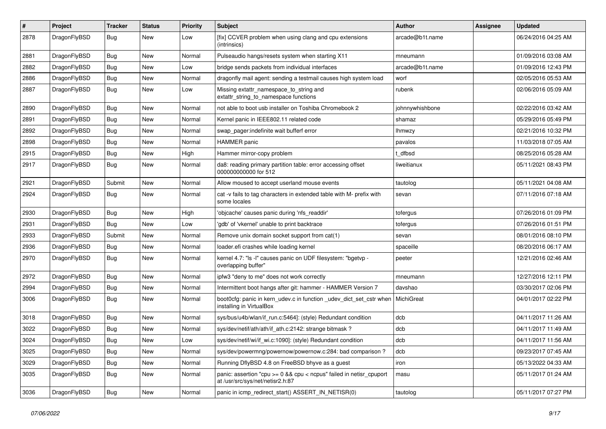| $\#$ | Project      | <b>Tracker</b> | <b>Status</b> | <b>Priority</b> | Subject                                                                                                 | <b>Author</b>   | Assignee | <b>Updated</b>      |
|------|--------------|----------------|---------------|-----------------|---------------------------------------------------------------------------------------------------------|-----------------|----------|---------------------|
| 2878 | DragonFlyBSD | <b>Bug</b>     | New           | Low             | [fix] CCVER problem when using clang and cpu extensions<br>(intrinsics)                                 | arcade@b1t.name |          | 06/24/2016 04:25 AM |
| 2881 | DragonFlyBSD | <b>Bug</b>     | New           | Normal          | Pulseaudio hangs/resets system when starting X11                                                        | mneumann        |          | 01/09/2016 03:08 AM |
| 2882 | DragonFlyBSD | <b>Bug</b>     | New           | Low             | bridge sends packets from individual interfaces                                                         | arcade@b1t.name |          | 01/09/2016 12:43 PM |
| 2886 | DragonFlyBSD | <b>Bug</b>     | New           | Normal          | dragonfly mail agent: sending a testmail causes high system load                                        | worf            |          | 02/05/2016 05:53 AM |
| 2887 | DragonFlyBSD | <b>Bug</b>     | New           | Low             | Missing extattr_namespace_to_string and<br>extattr_string_to_namespace functions                        | rubenk          |          | 02/06/2016 05:09 AM |
| 2890 | DragonFlyBSD | <b>Bug</b>     | New           | Normal          | not able to boot usb installer on Toshiba Chromebook 2                                                  | johnnywhishbone |          | 02/22/2016 03:42 AM |
| 2891 | DragonFlyBSD | <b>Bug</b>     | New           | Normal          | Kernel panic in IEEE802.11 related code                                                                 | shamaz          |          | 05/29/2016 05:49 PM |
| 2892 | DragonFlyBSD | Bug            | <b>New</b>    | Normal          | swap_pager:indefinite wait bufferf error                                                                | <b>Ihmwzy</b>   |          | 02/21/2016 10:32 PM |
| 2898 | DragonFlyBSD | <b>Bug</b>     | New           | Normal          | <b>HAMMER</b> panic                                                                                     | pavalos         |          | 11/03/2018 07:05 AM |
| 2915 | DragonFlyBSD | <b>Bug</b>     | New           | High            | Hammer mirror-copy problem                                                                              | t dfbsd         |          | 08/25/2016 05:28 AM |
| 2917 | DragonFlyBSD | Bug            | New           | Normal          | da8: reading primary partition table: error accessing offset<br>000000000000 for 512                    | liweitianux     |          | 05/11/2021 08:43 PM |
| 2921 | DragonFlyBSD | Submit         | New           | Normal          | Allow moused to accept userland mouse events                                                            | tautolog        |          | 05/11/2021 04:08 AM |
| 2924 | DragonFlyBSD | <b>Bug</b>     | <b>New</b>    | Normal          | cat -v fails to tag characters in extended table with M- prefix with<br>some locales                    | sevan           |          | 07/11/2016 07:18 AM |
| 2930 | DragonFlyBSD | Bug            | <b>New</b>    | High            | 'objcache' causes panic during 'nfs_readdir'                                                            | tofergus        |          | 07/26/2016 01:09 PM |
| 2931 | DragonFlyBSD | <b>Bug</b>     | New           | Low             | 'gdb' of 'vkernel' unable to print backtrace                                                            | tofergus        |          | 07/26/2016 01:51 PM |
| 2933 | DragonFlyBSD | Submit         | New           | Normal          | Remove unix domain socket support from cat(1)                                                           | sevan           |          | 08/01/2016 08:10 PM |
| 2936 | DragonFlyBSD | <b>Bug</b>     | New           | Normal          | loader.efi crashes while loading kernel                                                                 | spaceille       |          | 08/20/2016 06:17 AM |
| 2970 | DragonFlyBSD | <b>Bug</b>     | <b>New</b>    | Normal          | kernel 4.7: "Is -l" causes panic on UDF filesystem: "bgetvp -<br>overlapping buffer"                    | peeter          |          | 12/21/2016 02:46 AM |
| 2972 | DragonFlyBSD | <b>Bug</b>     | New           | Normal          | ipfw3 "deny to me" does not work correctly                                                              | mneumann        |          | 12/27/2016 12:11 PM |
| 2994 | DragonFlyBSD | <b>Bug</b>     | New           | Normal          | Intermittent boot hangs after git: hammer - HAMMER Version 7                                            | davshao         |          | 03/30/2017 02:06 PM |
| 3006 | DragonFlyBSD | <b>Bug</b>     | New           | Normal          | boot0cfg: panic in kern_udev.c in function _udev_dict_set_cstr when<br>installing in VirtualBox         | MichiGreat      |          | 04/01/2017 02:22 PM |
| 3018 | DragonFlyBSD | <b>Bug</b>     | New           | Normal          | sys/bus/u4b/wlan/if_run.c:5464]: (style) Redundant condition                                            | dcb             |          | 04/11/2017 11:26 AM |
| 3022 | DragonFlyBSD | <b>Bug</b>     | New           | Normal          | sys/dev/netif/ath/ath/if_ath.c:2142: strange bitmask?                                                   | dcb             |          | 04/11/2017 11:49 AM |
| 3024 | DragonFlyBSD | Bug            | <b>New</b>    | Low             | sys/dev/netif/wi/if_wi.c:1090]: (style) Redundant condition                                             | dcb             |          | 04/11/2017 11:56 AM |
| 3025 | DragonFlyBSD | <b>Bug</b>     | New           | Normal          | sys/dev/powermng/powernow/powernow.c:284: bad comparison?                                               | dcb             |          | 09/23/2017 07:45 AM |
| 3029 | DragonFlyBSD | <b>Bug</b>     | New           | Normal          | Running DflyBSD 4.8 on FreeBSD bhyve as a guest                                                         | iron            |          | 05/13/2022 04:33 AM |
| 3035 | DragonFlyBSD | <b>Bug</b>     | New           | Normal          | panic: assertion "cpu >= 0 && cpu < ncpus" failed in netisr_cpuport<br>at /usr/src/sys/net/netisr2.h:87 | masu            |          | 05/11/2017 01:24 AM |
| 3036 | DragonFlyBSD | <b>Bug</b>     | New           | Normal          | panic in icmp_redirect_start() ASSERT_IN_NETISR(0)                                                      | tautolog        |          | 05/11/2017 07:27 PM |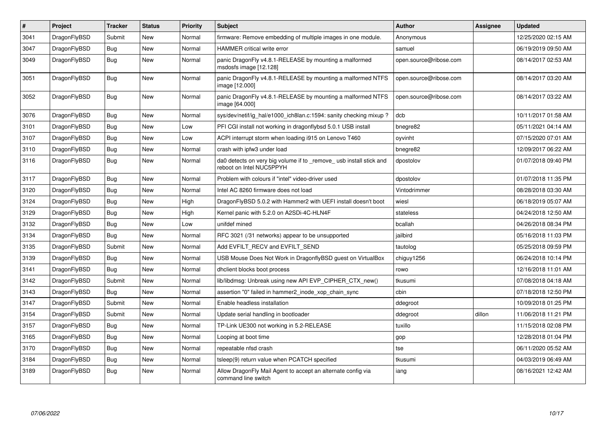| $\pmb{\#}$ | <b>Project</b> | <b>Tracker</b> | <b>Status</b> | <b>Priority</b> | <b>Subject</b>                                                                                | <b>Author</b>          | Assignee | <b>Updated</b>      |
|------------|----------------|----------------|---------------|-----------------|-----------------------------------------------------------------------------------------------|------------------------|----------|---------------------|
| 3041       | DragonFlyBSD   | Submit         | <b>New</b>    | Normal          | firmware: Remove embedding of multiple images in one module.                                  | Anonymous              |          | 12/25/2020 02:15 AM |
| 3047       | DragonFlyBSD   | Bug            | <b>New</b>    | Normal          | <b>HAMMER</b> critical write error                                                            | samuel                 |          | 06/19/2019 09:50 AM |
| 3049       | DragonFlyBSD   | Bug            | New           | Normal          | panic DragonFly v4.8.1-RELEASE by mounting a malformed<br>msdosfs image [12.128]              | open.source@ribose.com |          | 08/14/2017 02:53 AM |
| 3051       | DragonFlyBSD   | <b>Bug</b>     | <b>New</b>    | Normal          | panic DragonFly v4.8.1-RELEASE by mounting a malformed NTFS<br>image [12.000]                 | open.source@ribose.com |          | 08/14/2017 03:20 AM |
| 3052       | DragonFlyBSD   | Bug            | <b>New</b>    | Normal          | panic DragonFly v4.8.1-RELEASE by mounting a malformed NTFS<br>image [64.000]                 | open.source@ribose.com |          | 08/14/2017 03:22 AM |
| 3076       | DragonFlyBSD   | Bug            | <b>New</b>    | Normal          | sys/dev/netif/ig hal/e1000 ich8lan.c:1594: sanity checking mixup?                             | dcb                    |          | 10/11/2017 01:58 AM |
| 3101       | DragonFlyBSD   | Bug            | New           | Low             | PFI CGI install not working in dragonflybsd 5.0.1 USB install                                 | bnegre82               |          | 05/11/2021 04:14 AM |
| 3107       | DragonFlyBSD   | Bug            | <b>New</b>    | Low             | ACPI interrupt storm when loading i915 on Lenovo T460                                         | oyvinht                |          | 07/15/2020 07:01 AM |
| 3110       | DragonFlyBSD   | <b>Bug</b>     | <b>New</b>    | Normal          | crash with ipfw3 under load                                                                   | bnegre82               |          | 12/09/2017 06:22 AM |
| 3116       | DragonFlyBSD   | Bug            | New           | Normal          | da0 detects on very big volume if to remove usb install stick and<br>reboot on Intel NUC5PPYH | dpostolov              |          | 01/07/2018 09:40 PM |
| 3117       | DragonFlyBSD   | Bug            | <b>New</b>    | Normal          | Problem with colours if "intel" video-driver used                                             | dpostolov              |          | 01/07/2018 11:35 PM |
| 3120       | DragonFlyBSD   | Bug            | <b>New</b>    | Normal          | Intel AC 8260 firmware does not load                                                          | Vintodrimmer           |          | 08/28/2018 03:30 AM |
| 3124       | DragonFlyBSD   | Bug            | <b>New</b>    | High            | DragonFlyBSD 5.0.2 with Hammer2 with UEFI install doesn't boot                                | wiesl                  |          | 06/18/2019 05:07 AM |
| 3129       | DragonFlyBSD   | <b>Bug</b>     | <b>New</b>    | High            | Kernel panic with 5.2.0 on A2SDi-4C-HLN4F                                                     | stateless              |          | 04/24/2018 12:50 AM |
| 3132       | DragonFlyBSD   | <b>Bug</b>     | <b>New</b>    | Low             | unifdef mined                                                                                 | bcallah                |          | 04/26/2018 08:34 PM |
| 3134       | DragonFlyBSD   | Bug            | <b>New</b>    | Normal          | RFC 3021 (/31 networks) appear to be unsupported                                              | jailbird               |          | 05/16/2018 11:03 PM |
| 3135       | DragonFlyBSD   | Submit         | <b>New</b>    | Normal          | Add EVFILT_RECV and EVFILT_SEND                                                               | tautolog               |          | 05/25/2018 09:59 PM |
| 3139       | DragonFlyBSD   | Bug            | <b>New</b>    | Normal          | USB Mouse Does Not Work in DragonflyBSD guest on VirtualBox                                   | chiguy1256             |          | 06/24/2018 10:14 PM |
| 3141       | DragonFlyBSD   | Bug            | New           | Normal          | dhclient blocks boot process                                                                  | rowo                   |          | 12/16/2018 11:01 AM |
| 3142       | DragonFlyBSD   | Submit         | <b>New</b>    | Normal          | lib/libdmsg: Unbreak using new API EVP CIPHER CTX new()                                       | tkusumi                |          | 07/08/2018 04:18 AM |
| 3143       | DragonFlyBSD   | Bug            | <b>New</b>    | Normal          | assertion "0" failed in hammer2_inode_xop_chain_sync                                          | cbin                   |          | 07/18/2018 12:50 PM |
| 3147       | DragonFlyBSD   | Submit         | <b>New</b>    | Normal          | Enable headless installation                                                                  | ddegroot               |          | 10/09/2018 01:25 PM |
| 3154       | DragonFlyBSD   | Submit         | <b>New</b>    | Normal          | Update serial handling in bootloader                                                          | ddegroot               | dillon   | 11/06/2018 11:21 PM |
| 3157       | DragonFlyBSD   | Bug            | <b>New</b>    | Normal          | TP-Link UE300 not working in 5.2-RELEASE                                                      | tuxillo                |          | 11/15/2018 02:08 PM |
| 3165       | DragonFlyBSD   | Bug            | <b>New</b>    | Normal          | Looping at boot time                                                                          | gop                    |          | 12/28/2018 01:04 PM |
| 3170       | DragonFlyBSD   | <b>Bug</b>     | <b>New</b>    | Normal          | repeatable nfsd crash                                                                         | tse                    |          | 06/11/2020 05:52 AM |
| 3184       | DragonFlyBSD   | Bug            | <b>New</b>    | Normal          | tsleep(9) return value when PCATCH specified                                                  | tkusumi                |          | 04/03/2019 06:49 AM |
| 3189       | DragonFlyBSD   | Bug            | New           | Normal          | Allow DragonFly Mail Agent to accept an alternate config via<br>command line switch           | iang                   |          | 08/16/2021 12:42 AM |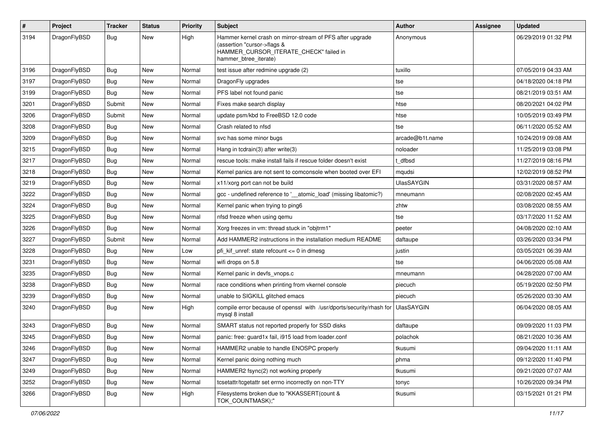| $\sharp$ | Project      | <b>Tracker</b> | <b>Status</b> | <b>Priority</b> | Subject                                                                                                                                                     | Author            | Assignee | <b>Updated</b>      |
|----------|--------------|----------------|---------------|-----------------|-------------------------------------------------------------------------------------------------------------------------------------------------------------|-------------------|----------|---------------------|
| 3194     | DragonFlyBSD | Bug            | <b>New</b>    | High            | Hammer kernel crash on mirror-stream of PFS after upgrade<br>(assertion "cursor->flags &<br>HAMMER_CURSOR_ITERATE_CHECK" failed in<br>hammer_btree_iterate) | Anonymous         |          | 06/29/2019 01:32 PM |
| 3196     | DragonFlyBSD | Bug            | <b>New</b>    | Normal          | test issue after redmine upgrade (2)                                                                                                                        | tuxillo           |          | 07/05/2019 04:33 AM |
| 3197     | DragonFlyBSD | <b>Bug</b>     | <b>New</b>    | Normal          | DragonFly upgrades                                                                                                                                          | tse               |          | 04/18/2020 04:18 PM |
| 3199     | DragonFlyBSD | Bug            | New           | Normal          | PFS label not found panic                                                                                                                                   | tse               |          | 08/21/2019 03:51 AM |
| 3201     | DragonFlyBSD | Submit         | <b>New</b>    | Normal          | Fixes make search display                                                                                                                                   | htse              |          | 08/20/2021 04:02 PM |
| 3206     | DragonFlyBSD | Submit         | New           | Normal          | update psm/kbd to FreeBSD 12.0 code                                                                                                                         | htse              |          | 10/05/2019 03:49 PM |
| 3208     | DragonFlyBSD | Bug            | <b>New</b>    | Normal          | Crash related to nfsd                                                                                                                                       | tse               |          | 06/11/2020 05:52 AM |
| 3209     | DragonFlyBSD | <b>Bug</b>     | <b>New</b>    | Normal          | svc has some minor bugs                                                                                                                                     | arcade@b1t.name   |          | 10/24/2019 09:08 AM |
| 3215     | DragonFlyBSD | <b>Bug</b>     | <b>New</b>    | Normal          | Hang in tcdrain(3) after write(3)                                                                                                                           | noloader          |          | 11/25/2019 03:08 PM |
| 3217     | DragonFlyBSD | Bug            | <b>New</b>    | Normal          | rescue tools: make install fails if rescue folder doesn't exist                                                                                             | t_dfbsd           |          | 11/27/2019 08:16 PM |
| 3218     | DragonFlyBSD | <b>Bug</b>     | New           | Normal          | Kernel panics are not sent to comconsole when booted over EFI                                                                                               | mqudsi            |          | 12/02/2019 08:52 PM |
| 3219     | DragonFlyBSD | Bug            | <b>New</b>    | Normal          | x11/xorg port can not be build                                                                                                                              | <b>UlasSAYGIN</b> |          | 03/31/2020 08:57 AM |
| 3222     | DragonFlyBSD | <b>Bug</b>     | New           | Normal          | gcc - undefined reference to '_atomic_load' (missing libatomic?)                                                                                            | mneumann          |          | 02/08/2020 02:45 AM |
| 3224     | DragonFlyBSD | <b>Bug</b>     | <b>New</b>    | Normal          | Kernel panic when trying to ping6                                                                                                                           | zhtw              |          | 03/08/2020 08:55 AM |
| 3225     | DragonFlyBSD | Bug            | <b>New</b>    | Normal          | nfsd freeze when using qemu                                                                                                                                 | tse               |          | 03/17/2020 11:52 AM |
| 3226     | DragonFlyBSD | <b>Bug</b>     | <b>New</b>    | Normal          | Xorg freezes in vm: thread stuck in "objtrm1"                                                                                                               | peeter            |          | 04/08/2020 02:10 AM |
| 3227     | DragonFlyBSD | Submit         | <b>New</b>    | Normal          | Add HAMMER2 instructions in the installation medium README                                                                                                  | daftaupe          |          | 03/26/2020 03:34 PM |
| 3228     | DragonFlyBSD | <b>Bug</b>     | <b>New</b>    | Low             | pfi_kif_unref: state refcount <= 0 in dmesg                                                                                                                 | justin            |          | 03/05/2021 06:39 AM |
| 3231     | DragonFlyBSD | Bug            | New           | Normal          | wifi drops on 5.8                                                                                                                                           | tse               |          | 04/06/2020 05:08 AM |
| 3235     | DragonFlyBSD | Bug            | <b>New</b>    | Normal          | Kernel panic in devfs_vnops.c                                                                                                                               | mneumann          |          | 04/28/2020 07:00 AM |
| 3238     | DragonFlyBSD | <b>Bug</b>     | <b>New</b>    | Normal          | race conditions when printing from vkernel console                                                                                                          | piecuch           |          | 05/19/2020 02:50 PM |
| 3239     | DragonFlyBSD | <b>Bug</b>     | New           | Normal          | unable to SIGKILL glitched emacs                                                                                                                            | piecuch           |          | 05/26/2020 03:30 AM |
| 3240     | DragonFlyBSD | Bug            | <b>New</b>    | High            | compile error because of openssl with /usr/dports/security/rhash for<br>mysql 8 install                                                                     | <b>UlasSAYGIN</b> |          | 06/04/2020 08:05 AM |
| 3243     | DragonFlyBSD | <b>Bug</b>     | <b>New</b>    | Normal          | SMART status not reported properly for SSD disks                                                                                                            | daftaupe          |          | 09/09/2020 11:03 PM |
| 3245     | DragonFlyBSD | Bug            | <b>New</b>    | Normal          | panic: free: guard1x fail, i915 load from loader.conf                                                                                                       | polachok          |          | 08/21/2020 10:36 AM |
| 3246     | DragonFlyBSD | <b>Bug</b>     | New           | Normal          | HAMMER2 unable to handle ENOSPC properly                                                                                                                    | tkusumi           |          | 09/04/2020 11:11 AM |
| 3247     | DragonFlyBSD | <b>Bug</b>     | New           | Normal          | Kernel panic doing nothing much                                                                                                                             | phma              |          | 09/12/2020 11:40 PM |
| 3249     | DragonFlyBSD | <b>Bug</b>     | New           | Normal          | HAMMER2 fsync(2) not working properly                                                                                                                       | tkusumi           |          | 09/21/2020 07:07 AM |
| 3252     | DragonFlyBSD | <b>Bug</b>     | New           | Normal          | tcsetattr/tcgetattr set errno incorrectly on non-TTY                                                                                                        | tonyc             |          | 10/26/2020 09:34 PM |
| 3266     | DragonFlyBSD | <b>Bug</b>     | New           | High            | Filesystems broken due to "KKASSERT(count &<br>TOK_COUNTMASK);"                                                                                             | tkusumi           |          | 03/15/2021 01:21 PM |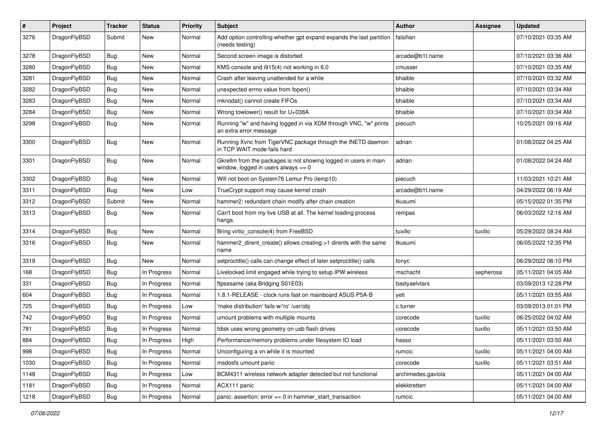| $\sharp$ | Project      | <b>Tracker</b> | <b>Status</b> | <b>Priority</b> | Subject                                                                                                   | Author             | Assignee  | <b>Updated</b>      |
|----------|--------------|----------------|---------------|-----------------|-----------------------------------------------------------------------------------------------------------|--------------------|-----------|---------------------|
| 3276     | DragonFlyBSD | Submit         | <b>New</b>    | Normal          | Add option controlling whether gpt expand expands the last partition<br>(needs testing)                   | falsifian          |           | 07/10/2021 03:35 AM |
| 3278     | DragonFlyBSD | Bug            | <b>New</b>    | Normal          | Second screen image is distorted                                                                          | arcade@b1t.name    |           | 07/10/2021 03:36 AM |
| 3280     | DragonFlyBSD | <b>Bug</b>     | New           | Normal          | KMS console and i915(4) not working in 6.0                                                                | cmusser            |           | 07/10/2021 03:35 AM |
| 3281     | DragonFlyBSD | <b>Bug</b>     | <b>New</b>    | Normal          | Crash after leaving unattended for a while                                                                | bhaible            |           | 07/10/2021 03:32 AM |
| 3282     | DragonFlyBSD | <b>Bug</b>     | <b>New</b>    | Normal          | unexpected errno value from fopen()                                                                       | bhaible            |           | 07/10/2021 03:34 AM |
| 3283     | DragonFlyBSD | <b>Bug</b>     | <b>New</b>    | Normal          | mknodat() cannot create FIFOs                                                                             | bhaible            |           | 07/10/2021 03:34 AM |
| 3284     | DragonFlyBSD | <b>Bug</b>     | <b>New</b>    | Normal          | Wrong towlower() result for U+038A                                                                        | bhaible            |           | 07/10/2021 03:34 AM |
| 3298     | DragonFlyBSD | Bug            | New           | Normal          | Running "w" and having logged in via XDM through VNC, "w" prints<br>an extra error message                | piecuch            |           | 10/25/2021 09:16 AM |
| 3300     | DragonFlyBSD | Bug            | <b>New</b>    | Normal          | Running Xvnc from TigerVNC package through the INETD daemon<br>in TCP WAIT mode fails hard                | adrian             |           | 01/08/2022 04:25 AM |
| 3301     | DragonFlyBSD | <b>Bug</b>     | <b>New</b>    | Normal          | Gkrellm from the packages is not showing logged in users in main<br>window, logged in users always $== 0$ | adrian             |           | 01/08/2022 04:24 AM |
| 3302     | DragonFlyBSD | Bug            | <b>New</b>    | Normal          | Will not boot on System76 Lemur Pro (lemp10)                                                              | piecuch            |           | 11/03/2021 10:21 AM |
| 3311     | DragonFlyBSD | <b>Bug</b>     | New           | Low             | TrueCrypt support may cause kernel crash                                                                  | arcade@b1t.name    |           | 04/29/2022 06:19 AM |
| 3312     | DragonFlyBSD | Submit         | New           | Normal          | hammer2: redundant chain modify after chain creation                                                      | tkusumi            |           | 05/15/2022 01:35 PM |
| 3313     | DragonFlyBSD | <b>Bug</b>     | New           | Normal          | Can't boot from my live USB at all. The kernel loading process<br>hangs.                                  | rempas             |           | 06/03/2022 12:16 AM |
| 3314     | DragonFlyBSD | <b>Bug</b>     | <b>New</b>    | Normal          | Bring virtio_console(4) from FreeBSD                                                                      | tuxillo            | tuxillo   | 05/29/2022 08:24 AM |
| 3316     | DragonFlyBSD | <b>Bug</b>     | <b>New</b>    | Normal          | hammer2_dirent_create() allows creating >1 dirents with the same<br>name                                  | tkusumi            |           | 06/05/2022 12:35 PM |
| 3319     | DragonFlyBSD | <b>Bug</b>     | New           | Normal          | setproctitle() calls can change effect of later setproctitle() calls                                      | tonyc              |           | 06/29/2022 06:10 PM |
| 168      | DragonFlyBSD | <b>Bug</b>     | In Progress   | Normal          | Livelocked limit engaged while trying to setup IPW wireless                                               | mschacht           | sepherosa | 05/11/2021 04:05 AM |
| 331      | DragonFlyBSD | <b>Bug</b>     | In Progress   | Normal          | ftpsesame (aka Bridging S01E03)                                                                           | bastyaelvtars      |           | 03/09/2013 12:28 PM |
| 604      | DragonFlyBSD | Bug            | In Progress   | Normal          | 1.8.1-RELEASE - clock runs fast on mainboard ASUS P5A-B                                                   | yeti               |           | 05/11/2021 03:55 AM |
| 725      | DragonFlyBSD | <b>Bug</b>     | In Progress   | Low             | 'make distribution' fails w/'ro' /usr/obj                                                                 | c.turner           |           | 03/09/2013 01:01 PM |
| 742      | DragonFlyBSD | Bug            | In Progress   | Normal          | umount problems with multiple mounts                                                                      | corecode           | tuxillo   | 06/25/2022 04:02 AM |
| 781      | DragonFlyBSD | Bug            | In Progress   | Normal          | fdisk uses wrong geometry on usb flash drives                                                             | corecode           | tuxillo   | 05/11/2021 03:50 AM |
| 884      | DragonFlyBSD | Bug            | In Progress   | High            | Performance/memory problems under filesystem IO load                                                      | hasso              |           | 05/11/2021 03:50 AM |
| 998      | DragonFlyBSD | Bug            | In Progress   | Normal          | Unconfiguring a vn while it is mounted                                                                    | rumcic             | tuxillo   | 05/11/2021 04:00 AM |
| 1030     | DragonFlyBSD | Bug            | In Progress   | Normal          | msdosfs umount panic                                                                                      | corecode           | tuxillo   | 05/11/2021 03:51 AM |
| 1148     | DragonFlyBSD | <b>Bug</b>     | In Progress   | Low             | BCM4311 wireless network adapter detected but not functional                                              | archimedes.gaviola |           | 05/11/2021 04:00 AM |
| 1181     | DragonFlyBSD | Bug            | In Progress   | Normal          | ACX111 panic                                                                                              | elekktretterr      |           | 05/11/2021 04:00 AM |
| 1218     | DragonFlyBSD | <b>Bug</b>     | In Progress   | Normal          | panic: assertion: $error == 0$ in hammer start transaction                                                | rumcic             |           | 05/11/2021 04:00 AM |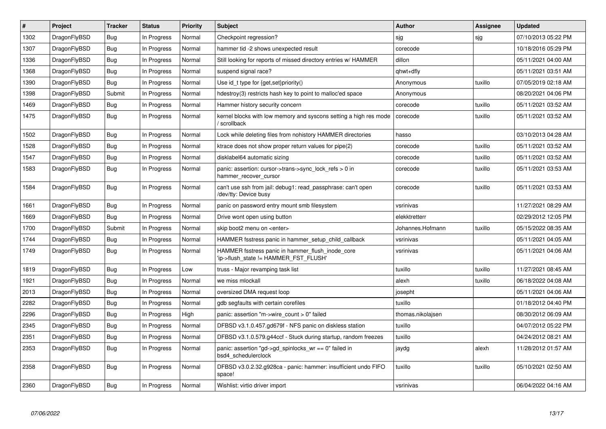| #    | Project      | <b>Tracker</b> | <b>Status</b> | <b>Priority</b> | <b>Subject</b>                                                                            | <b>Author</b>     | <b>Assignee</b> | <b>Updated</b>      |
|------|--------------|----------------|---------------|-----------------|-------------------------------------------------------------------------------------------|-------------------|-----------------|---------------------|
| 1302 | DragonFlyBSD | <b>Bug</b>     | In Progress   | Normal          | Checkpoint regression?                                                                    | sjg               | sjg             | 07/10/2013 05:22 PM |
| 1307 | DragonFlyBSD | Bug            | In Progress   | Normal          | hammer tid -2 shows unexpected result                                                     | corecode          |                 | 10/18/2016 05:29 PM |
| 1336 | DragonFlyBSD | <b>Bug</b>     | In Progress   | Normal          | Still looking for reports of missed directory entries w/ HAMMER                           | dillon            |                 | 05/11/2021 04:00 AM |
| 1368 | DragonFlyBSD | Bug            | In Progress   | Normal          | suspend signal race?                                                                      | qhwt+dfly         |                 | 05/11/2021 03:51 AM |
| 1390 | DragonFlyBSD | <b>Bug</b>     | In Progress   | Normal          | Use id_t type for {get,set}priority()                                                     | Anonymous         | tuxillo         | 07/05/2019 02:18 AM |
| 1398 | DragonFlyBSD | Submit         | In Progress   | Normal          | hdestroy(3) restricts hash key to point to malloc'ed space                                | Anonymous         |                 | 08/20/2021 04:06 PM |
| 1469 | DragonFlyBSD | <b>Bug</b>     | In Progress   | Normal          | Hammer history security concern                                                           | corecode          | tuxillo         | 05/11/2021 03:52 AM |
| 1475 | DragonFlyBSD | Bug            | In Progress   | Normal          | kernel blocks with low memory and syscons setting a high res mode<br>scrollback           | corecode          | tuxillo         | 05/11/2021 03:52 AM |
| 1502 | DragonFlyBSD | Bug            | In Progress   | Normal          | Lock while deleting files from nohistory HAMMER directories                               | hasso             |                 | 03/10/2013 04:28 AM |
| 1528 | DragonFlyBSD | Bug            | In Progress   | Normal          | ktrace does not show proper return values for pipe(2)                                     | corecode          | tuxillo         | 05/11/2021 03:52 AM |
| 1547 | DragonFlyBSD | Bug            | In Progress   | Normal          | disklabel64 automatic sizing                                                              | corecode          | tuxillo         | 05/11/2021 03:52 AM |
| 1583 | DragonFlyBSD | Bug            | In Progress   | Normal          | panic: assertion: cursor->trans->sync lock refs $> 0$ in<br>hammer_recover_cursor         | corecode          | tuxillo         | 05/11/2021 03:53 AM |
| 1584 | DragonFlyBSD | Bug            | In Progress   | Normal          | can't use ssh from jail: debug1: read passphrase: can't open<br>/dev/tty: Device busy     | corecode          | tuxillo         | 05/11/2021 03:53 AM |
| 1661 | DragonFlyBSD | <b>Bug</b>     | In Progress   | Normal          | panic on password entry mount smb filesystem                                              | vsrinivas         |                 | 11/27/2021 08:29 AM |
| 1669 | DragonFlyBSD | <b>Bug</b>     | In Progress   | Normal          | Drive wont open using button                                                              | elekktretterr     |                 | 02/29/2012 12:05 PM |
| 1700 | DragonFlyBSD | Submit         | In Progress   | Normal          | skip boot2 menu on <enter></enter>                                                        | Johannes.Hofmann  | tuxillo         | 05/15/2022 08:35 AM |
| 1744 | DragonFlyBSD | <b>Bug</b>     | In Progress   | Normal          | HAMMER fsstress panic in hammer setup child callback                                      | vsrinivas         |                 | 05/11/2021 04:05 AM |
| 1749 | DragonFlyBSD | Bug            | In Progress   | Normal          | HAMMER fsstress panic in hammer flush inode core<br>'ip->flush_state != HAMMER_FST_FLUSH' | vsrinivas         |                 | 05/11/2021 04:06 AM |
| 1819 | DragonFlyBSD | Bug            | In Progress   | Low             | truss - Major revamping task list                                                         | tuxillo           | tuxillo         | 11/27/2021 08:45 AM |
| 1921 | DragonFlyBSD | <b>Bug</b>     | In Progress   | Normal          | we miss mlockall                                                                          | alexh             | tuxillo         | 06/18/2022 04:08 AM |
| 2013 | DragonFlyBSD | Bug            | In Progress   | Normal          | oversized DMA request loop                                                                | josepht           |                 | 05/11/2021 04:06 AM |
| 2282 | DragonFlyBSD | <b>Bug</b>     | In Progress   | Normal          | gdb segfaults with certain corefiles                                                      | tuxillo           |                 | 01/18/2012 04:40 PM |
| 2296 | DragonFlyBSD | Bug            | In Progress   | High            | panic: assertion "m->wire count > $0$ " failed                                            | thomas.nikolajsen |                 | 08/30/2012 06:09 AM |
| 2345 | DragonFlyBSD | <b>Bug</b>     | In Progress   | Normal          | DFBSD v3.1.0.457.gd679f - NFS panic on diskless station                                   | tuxillo           |                 | 04/07/2012 05:22 PM |
| 2351 | DragonFlyBSD | Bug            | In Progress   | Normal          | DFBSD v3.1.0.579.g44ccf - Stuck during startup, random freezes                            | tuxillo           |                 | 04/24/2012 08:21 AM |
| 2353 | DragonFlyBSD | <b>Bug</b>     | In Progress   | Normal          | panic: assertion "gd->gd_spinlocks_wr == 0" failed in<br>bsd4_schedulerclock              | jaydg             | alexh           | 11/28/2012 01:57 AM |
| 2358 | DragonFlyBSD | Bug            | In Progress   | Normal          | DFBSD v3.0.2.32.g928ca - panic: hammer: insufficient undo FIFO<br>space!                  | tuxillo           | tuxillo         | 05/10/2021 02:50 AM |
| 2360 | DragonFlyBSD | Bug            | In Progress   | Normal          | Wishlist: virtio driver import                                                            | vsrinivas         |                 | 06/04/2022 04:16 AM |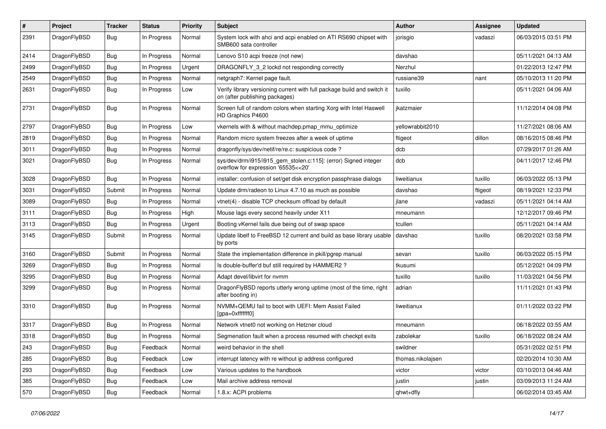| #    | Project      | <b>Tracker</b> | <b>Status</b> | <b>Priority</b> | Subject                                                                                                   | <b>Author</b>     | <b>Assignee</b> | <b>Updated</b>      |
|------|--------------|----------------|---------------|-----------------|-----------------------------------------------------------------------------------------------------------|-------------------|-----------------|---------------------|
| 2391 | DragonFlyBSD | Bug            | In Progress   | Normal          | System lock with ahci and acpi enabled on ATI RS690 chipset with<br>SMB600 sata controller                | jorisgio          | vadaszi         | 06/03/2015 03:51 PM |
| 2414 | DragonFlyBSD | Bug            | In Progress   | Normal          | Lenovo S10 acpi freeze (not new)                                                                          | davshao           |                 | 05/11/2021 04:13 AM |
| 2499 | DragonFlyBSD | <b>Bug</b>     | In Progress   | Urgent          | DRAGONFLY 3 2 lockd not responding correctly                                                              | Nerzhul           |                 | 01/22/2013 12:47 PM |
| 2549 | DragonFlyBSD | Bug            | In Progress   | Normal          | netgraph7: Kernel page fault.                                                                             | russiane39        | nant            | 05/10/2013 11:20 PM |
| 2631 | DragonFlyBSD | <b>Bug</b>     | In Progress   | Low             | Verify library versioning current with full package build and switch it<br>on (after publishing packages) | tuxillo           |                 | 05/11/2021 04:06 AM |
| 2731 | DragonFlyBSD | Bug            | In Progress   | Normal          | Screen full of random colors when starting Xorg with Intel Haswell<br>HD Graphics P4600                   | ikatzmaier        |                 | 11/12/2014 04:08 PM |
| 2797 | DragonFlyBSD | Bug            | In Progress   | Low             | vkernels with & without machdep.pmap_mmu_optimize                                                         | yellowrabbit2010  |                 | 11/27/2021 08:06 AM |
| 2819 | DragonFlyBSD | <b>Bug</b>     | In Progress   | Normal          | Random micro system freezes after a week of uptime                                                        | ftigeot           | dillon          | 08/16/2015 08:46 PM |
| 3011 | DragonFlyBSD | <b>Bug</b>     | In Progress   | Normal          | dragonfly/sys/dev/netif/re/re.c: suspicious code?                                                         | dcb               |                 | 07/29/2017 01:26 AM |
| 3021 | DragonFlyBSD | Bug            | In Progress   | Normal          | sys/dev/drm/i915/i915_gem_stolen.c:115]: (error) Signed integer<br>overflow for expression '65535<<20'    | dcb               |                 | 04/11/2017 12:46 PM |
| 3028 | DragonFlyBSD | Bug            | In Progress   | Normal          | installer: confusion of set/get disk encryption passphrase dialogs                                        | liweitianux       | tuxillo         | 06/03/2022 05:13 PM |
| 3031 | DragonFlyBSD | Submit         | In Progress   | Normal          | Update drm/radeon to Linux 4.7.10 as much as possible                                                     | davshao           | ftigeot         | 08/19/2021 12:33 PM |
| 3089 | DragonFlyBSD | <b>Bug</b>     | In Progress   | Normal          | vtnet(4) - disable TCP checksum offload by default                                                        | jlane             | vadaszi         | 05/11/2021 04:14 AM |
| 3111 | DragonFlyBSD | Bug            | In Progress   | High            | Mouse lags every second heavily under X11                                                                 | mneumann          |                 | 12/12/2017 09:46 PM |
| 3113 | DragonFlyBSD | Bug            | In Progress   | Urgent          | Booting vKernel fails due being out of swap space                                                         | tcullen           |                 | 05/11/2021 04:14 AM |
| 3145 | DragonFlyBSD | Submit         | In Progress   | Normal          | Update libelf to FreeBSD 12 current and build as base library usable<br>by ports                          | davshao           | tuxillo         | 08/20/2021 03:58 PM |
| 3160 | DragonFlyBSD | Submit         | In Progress   | Normal          | State the implementation difference in pkill/pgrep manual                                                 | sevan             | tuxillo         | 06/03/2022 05:15 PM |
| 3269 | DragonFlyBSD | Bug            | In Progress   | Normal          | Is double-buffer'd buf still required by HAMMER2 ?                                                        | tkusumi           |                 | 05/12/2021 04:09 PM |
| 3295 | DragonFlyBSD | Bug            | In Progress   | Normal          | Adapt devel/libvirt for nvmm                                                                              | tuxillo           | tuxillo         | 11/03/2021 04:56 PM |
| 3299 | DragonFlyBSD | Bug            | In Progress   | Normal          | DragonFlyBSD reports utterly wrong uptime (most of the time, right<br>after booting in)                   | adrian            |                 | 11/11/2021 01:43 PM |
| 3310 | DragonFlyBSD | Bug            | In Progress   | Normal          | NVMM+QEMU fail to boot with UEFI: Mem Assist Failed<br>[gpa=0xfffffff0]                                   | liweitianux       |                 | 01/11/2022 03:22 PM |
| 3317 | DragonFlyBSD | Bug            | In Progress   | Normal          | Network vtnet0 not working on Hetzner cloud                                                               | mneumann          |                 | 06/18/2022 03:55 AM |
| 3318 | DragonFlyBSD | <b>Bug</b>     | In Progress   | Normal          | Segmenation fault when a process resumed with checkpt exits                                               | zabolekar         | tuxillo         | 06/18/2022 08:24 AM |
| 243  | DragonFlyBSD | Bug            | Feedback      | Normal          | weird behavior in the shell                                                                               | swildner          |                 | 05/31/2022 02:51 PM |
| 285  | DragonFlyBSD | <b>Bug</b>     | Feedback      | Low             | interrupt latency with re without ip address configured                                                   | thomas.nikolajsen |                 | 02/20/2014 10:30 AM |
| 293  | DragonFlyBSD | <b>Bug</b>     | Feedback      | Low             | Various updates to the handbook                                                                           | victor            | victor          | 03/10/2013 04:46 AM |
| 385  | DragonFlyBSD | <b>Bug</b>     | Feedback      | Low             | Mail archive address removal                                                                              | justin            | justin          | 03/09/2013 11:24 AM |
| 570  | DragonFlyBSD | <b>Bug</b>     | Feedback      | Normal          | 1.8.x: ACPI problems                                                                                      | qhwt+dfly         |                 | 06/02/2014 03:45 AM |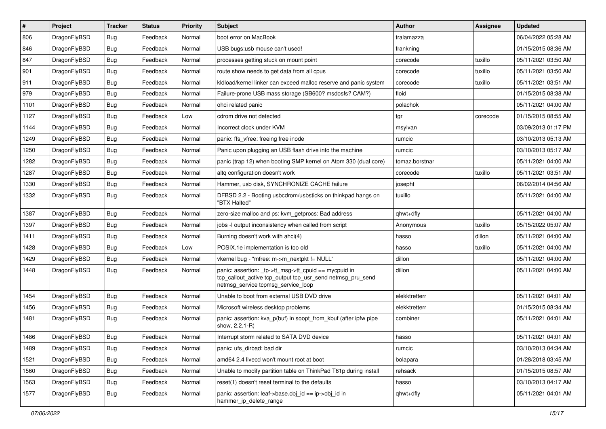| #    | Project      | <b>Tracker</b> | <b>Status</b> | <b>Priority</b> | Subject                                                                                                                                                   | <b>Author</b>  | <b>Assignee</b> | <b>Updated</b>      |
|------|--------------|----------------|---------------|-----------------|-----------------------------------------------------------------------------------------------------------------------------------------------------------|----------------|-----------------|---------------------|
| 806  | DragonFlyBSD | Bug            | Feedback      | Normal          | boot error on MacBook                                                                                                                                     | tralamazza     |                 | 06/04/2022 05:28 AM |
| 846  | DragonFlyBSD | Bug            | Feedback      | Normal          | USB bugs:usb mouse can't used!                                                                                                                            | frankning      |                 | 01/15/2015 08:36 AM |
| 847  | DragonFlyBSD | Bug            | Feedback      | Normal          | processes getting stuck on mount point                                                                                                                    | corecode       | tuxillo         | 05/11/2021 03:50 AM |
| 901  | DragonFlyBSD | Bug            | Feedback      | Normal          | route show needs to get data from all cpus                                                                                                                | corecode       | tuxillo         | 05/11/2021 03:50 AM |
| 911  | DragonFlyBSD | Bug            | Feedback      | Normal          | kldload/kernel linker can exceed malloc reserve and panic system                                                                                          | corecode       | tuxillo         | 05/11/2021 03:51 AM |
| 979  | DragonFlyBSD | Bug            | Feedback      | Normal          | Failure-prone USB mass storage (SB600? msdosfs? CAM?)                                                                                                     | floid          |                 | 01/15/2015 08:38 AM |
| 1101 | DragonFlyBSD | Bug            | Feedback      | Normal          | ohci related panic                                                                                                                                        | polachok       |                 | 05/11/2021 04:00 AM |
| 1127 | DragonFlyBSD | Bug            | Feedback      | Low             | cdrom drive not detected                                                                                                                                  | tgr            | corecode        | 01/15/2015 08:55 AM |
| 1144 | DragonFlyBSD | Bug            | Feedback      | Normal          | Incorrect clock under KVM                                                                                                                                 | msylvan        |                 | 03/09/2013 01:17 PM |
| 1249 | DragonFlyBSD | Bug            | Feedback      | Normal          | panic: ffs vfree: freeing free inode                                                                                                                      | rumcic         |                 | 03/10/2013 05:13 AM |
| 1250 | DragonFlyBSD | Bug            | Feedback      | Normal          | Panic upon plugging an USB flash drive into the machine                                                                                                   | rumcic         |                 | 03/10/2013 05:17 AM |
| 1282 | DragonFlyBSD | Bug            | Feedback      | Normal          | panic (trap 12) when booting SMP kernel on Atom 330 (dual core)                                                                                           | tomaz.borstnar |                 | 05/11/2021 04:00 AM |
| 1287 | DragonFlyBSD | Bug            | Feedback      | Normal          | altg configuration doesn't work                                                                                                                           | corecode       | tuxillo         | 05/11/2021 03:51 AM |
| 1330 | DragonFlyBSD | Bug            | Feedback      | Normal          | Hammer, usb disk, SYNCHRONIZE CACHE failure                                                                                                               | josepht        |                 | 06/02/2014 04:56 AM |
| 1332 | DragonFlyBSD | Bug            | Feedback      | Normal          | DFBSD 2.2 - Booting usbcdrom/usbsticks on thinkpad hangs on<br>"BTX Halted"                                                                               | tuxillo        |                 | 05/11/2021 04:00 AM |
| 1387 | DragonFlyBSD | <b>Bug</b>     | Feedback      | Normal          | zero-size malloc and ps: kvm getprocs: Bad address                                                                                                        | qhwt+dfly      |                 | 05/11/2021 04:00 AM |
| 1397 | DragonFlyBSD | Bug            | Feedback      | Normal          | jobs -I output inconsistency when called from script                                                                                                      | Anonymous      | tuxillo         | 05/15/2022 05:07 AM |
| 1411 | DragonFlyBSD | Bug            | Feedback      | Normal          | Burning doesn't work with ahci(4)                                                                                                                         | hasso          | dillon          | 05/11/2021 04:00 AM |
| 1428 | DragonFlyBSD | Bug            | Feedback      | Low             | POSIX.1e implementation is too old                                                                                                                        | hasso          | tuxillo         | 05/11/2021 04:00 AM |
| 1429 | DragonFlyBSD | Bug            | Feedback      | Normal          | vkernel bug - "mfree: m->m_nextpkt != NULL"                                                                                                               | dillon         |                 | 05/11/2021 04:00 AM |
| 1448 | DragonFlyBSD | Bug            | Feedback      | Normal          | panic: assertion: _tp->tt_msg->tt_cpuid == mycpuid in<br>tcp_callout_active tcp_output tcp_usr_send netmsg_pru_send<br>netmsg_service tcpmsg_service_loop | dillon         |                 | 05/11/2021 04:00 AM |
| 1454 | DragonFlyBSD | Bug            | Feedback      | Normal          | Unable to boot from external USB DVD drive                                                                                                                | elekktretterr  |                 | 05/11/2021 04:01 AM |
| 1456 | DragonFlyBSD | Bug            | Feedback      | Normal          | Microsoft wireless desktop problems                                                                                                                       | elekktretterr  |                 | 01/15/2015 08:34 AM |
| 1481 | DragonFlyBSD | Bug            | Feedback      | Normal          | panic: assertion: kva p(buf) in soopt from kbuf (after ipfw pipe<br>show, 2.2.1-R)                                                                        | combiner       |                 | 05/11/2021 04:01 AM |
| 1486 | DragonFlyBSD | Bug            | Feedback      | Normal          | Interrupt storm related to SATA DVD device                                                                                                                | hasso          |                 | 05/11/2021 04:01 AM |
| 1489 | DragonFlyBSD | <b>Bug</b>     | Feedback      | Normal          | panic: ufs dirbad: bad dir                                                                                                                                | rumcic         |                 | 03/10/2013 04:34 AM |
| 1521 | DragonFlyBSD | <b>Bug</b>     | Feedback      | Normal          | amd64 2.4 livecd won't mount root at boot                                                                                                                 | bolapara       |                 | 01/28/2018 03:45 AM |
| 1560 | DragonFlyBSD | <b>Bug</b>     | Feedback      | Normal          | Unable to modify partition table on ThinkPad T61p during install                                                                                          | rehsack        |                 | 01/15/2015 08:57 AM |
| 1563 | DragonFlyBSD | Bug            | Feedback      | Normal          | reset(1) doesn't reset terminal to the defaults                                                                                                           | hasso          |                 | 03/10/2013 04:17 AM |
| 1577 | DragonFlyBSD | <b>Bug</b>     | Feedback      | Normal          | panic: assertion: leaf->base.obj_id == ip->obj_id in<br>hammer_ip_delete_range                                                                            | qhwt+dfly      |                 | 05/11/2021 04:01 AM |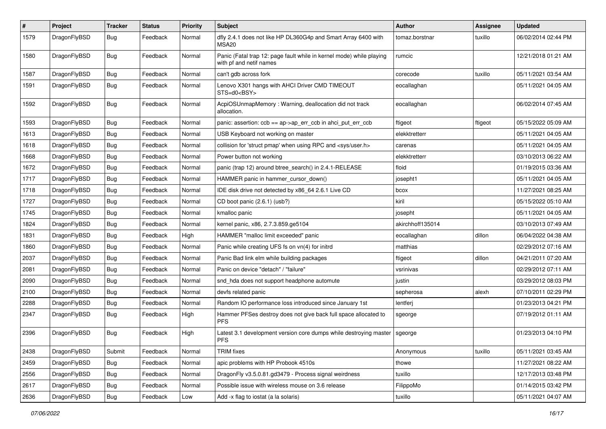| $\pmb{\#}$ | Project      | <b>Tracker</b> | <b>Status</b> | <b>Priority</b> | Subject                                                                                         | Author           | Assignee | <b>Updated</b>      |
|------------|--------------|----------------|---------------|-----------------|-------------------------------------------------------------------------------------------------|------------------|----------|---------------------|
| 1579       | DragonFlyBSD | Bug            | Feedback      | Normal          | dfly 2.4.1 does not like HP DL360G4p and Smart Array 6400 with<br>MSA <sub>20</sub>             | tomaz.borstnar   | tuxillo  | 06/02/2014 02:44 PM |
| 1580       | DragonFlyBSD | Bug            | Feedback      | Normal          | Panic (Fatal trap 12: page fault while in kernel mode) while playing<br>with pf and netif names | rumcic           |          | 12/21/2018 01:21 AM |
| 1587       | DragonFlyBSD | Bug            | Feedback      | Normal          | can't gdb across fork                                                                           | corecode         | tuxillo  | 05/11/2021 03:54 AM |
| 1591       | DragonFlyBSD | Bug            | Feedback      | Normal          | Lenovo X301 hangs with AHCI Driver CMD TIMEOUT<br>STS=d0 <bsy></bsy>                            | eocallaghan      |          | 05/11/2021 04:05 AM |
| 1592       | DragonFlyBSD | Bug            | Feedback      | Normal          | AcpiOSUnmapMemory: Warning, deallocation did not track<br>allocation.                           | eocallaghan      |          | 06/02/2014 07:45 AM |
| 1593       | DragonFlyBSD | Bug            | Feedback      | Normal          | panic: assertion: $\cosh = a$ p->ap err $\cosh$ in ahci put err $\cosh$                         | ftigeot          | ftigeot  | 05/15/2022 05:09 AM |
| 1613       | DragonFlyBSD | <b>Bug</b>     | Feedback      | Normal          | USB Keyboard not working on master                                                              | elekktretterr    |          | 05/11/2021 04:05 AM |
| 1618       | DragonFlyBSD | Bug            | Feedback      | Normal          | collision for 'struct pmap' when using RPC and <sys user.h=""></sys>                            | carenas          |          | 05/11/2021 04:05 AM |
| 1668       | DragonFlyBSD | Bug            | Feedback      | Normal          | Power button not working                                                                        | elekktretterr    |          | 03/10/2013 06:22 AM |
| 1672       | DragonFlyBSD | <b>Bug</b>     | Feedback      | Normal          | panic (trap 12) around btree search() in 2.4.1-RELEASE                                          | floid            |          | 01/19/2015 03:36 AM |
| 1717       | DragonFlyBSD | <b>Bug</b>     | Feedback      | Normal          | HAMMER panic in hammer_cursor_down()                                                            | josepht1         |          | 05/11/2021 04:05 AM |
| 1718       | DragonFlyBSD | <b>Bug</b>     | Feedback      | Normal          | IDE disk drive not detected by x86 64 2.6.1 Live CD                                             | bcox             |          | 11/27/2021 08:25 AM |
| 1727       | DragonFlyBSD | <b>Bug</b>     | Feedback      | Normal          | CD boot panic (2.6.1) (usb?)                                                                    | kiril            |          | 05/15/2022 05:10 AM |
| 1745       | DragonFlyBSD | <b>Bug</b>     | Feedback      | Normal          | kmalloc panic                                                                                   | josepht          |          | 05/11/2021 04:05 AM |
| 1824       | DragonFlyBSD | <b>Bug</b>     | Feedback      | Normal          | kernel panic, x86, 2.7.3.859.ge5104                                                             | akirchhoff135014 |          | 03/10/2013 07:49 AM |
| 1831       | DragonFlyBSD | Bug            | Feedback      | High            | HAMMER "malloc limit exceeded" panic                                                            | eocallaghan      | dillon   | 06/04/2022 04:38 AM |
| 1860       | DragonFlyBSD | <b>Bug</b>     | Feedback      | Normal          | Panic while creating UFS fs on vn(4) for initrd                                                 | matthias         |          | 02/29/2012 07:16 AM |
| 2037       | DragonFlyBSD | <b>Bug</b>     | Feedback      | Normal          | Panic Bad link elm while building packages                                                      | ftigeot          | dillon   | 04/21/2011 07:20 AM |
| 2081       | DragonFlyBSD | Bug            | Feedback      | Normal          | Panic on device "detach" / "failure"                                                            | vsrinivas        |          | 02/29/2012 07:11 AM |
| 2090       | DragonFlyBSD | <b>Bug</b>     | Feedback      | Normal          | snd_hda does not support headphone automute                                                     | justin           |          | 03/29/2012 08:03 PM |
| 2100       | DragonFlyBSD | Bug            | Feedback      | Normal          | devfs related panic                                                                             | sepherosa        | alexh    | 07/10/2011 02:29 PM |
| 2288       | DragonFlyBSD | <b>Bug</b>     | Feedback      | Normal          | Random IO performance loss introduced since January 1st                                         | lentferj         |          | 01/23/2013 04:21 PM |
| 2347       | DragonFlyBSD | <b>Bug</b>     | Feedback      | High            | Hammer PFSes destroy does not give back full space allocated to<br><b>PFS</b>                   | sgeorge          |          | 07/19/2012 01:11 AM |
| 2396       | DragonFlyBSD | Bug            | Feedback      | High            | Latest 3.1 development version core dumps while destroying master<br><b>PFS</b>                 | sgeorge          |          | 01/23/2013 04:10 PM |
| 2438       | DragonFlyBSD | Submit         | Feedback      | Normal          | <b>TRIM</b> fixes                                                                               | Anonymous        | tuxillo  | 05/11/2021 03:45 AM |
| 2459       | DragonFlyBSD | <b>Bug</b>     | Feedback      | Normal          | apic problems with HP Probook 4510s                                                             | thowe            |          | 11/27/2021 08:22 AM |
| 2556       | DragonFlyBSD | <b>Bug</b>     | Feedback      | Normal          | DragonFly v3.5.0.81.gd3479 - Process signal weirdness                                           | tuxillo          |          | 12/17/2013 03:48 PM |
| 2617       | DragonFlyBSD | <b>Bug</b>     | Feedback      | Normal          | Possible issue with wireless mouse on 3.6 release                                               | FilippoMo        |          | 01/14/2015 03:42 PM |
| 2636       | DragonFlyBSD | Bug            | Feedback      | Low             | Add -x flag to iostat (a la solaris)                                                            | tuxillo          |          | 05/11/2021 04:07 AM |